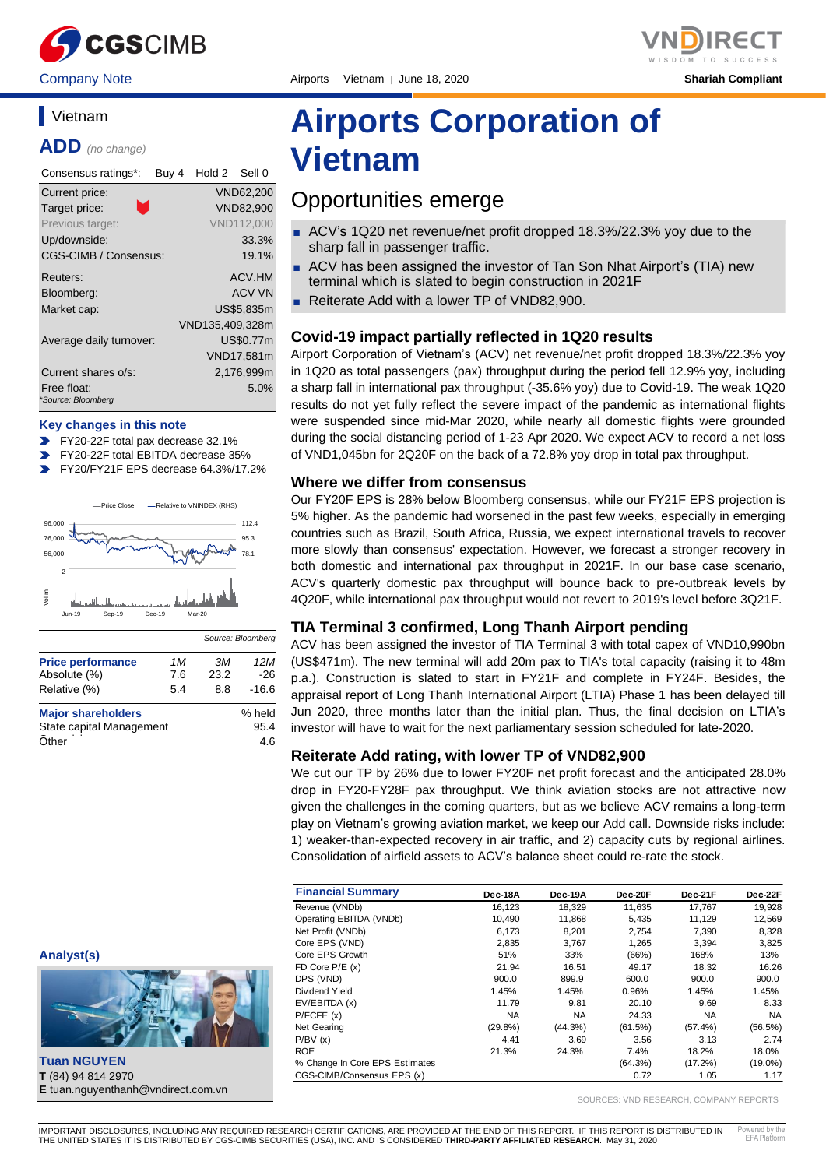

Company Note Airports │ Vietnam │ June 18, 2020 **Shariah Compliant**

# **Vietnam**

**ADD** *(no change)*

| Consensus ratings*:               | Buy 4 | Hold 2          | Sell 0     |
|-----------------------------------|-------|-----------------|------------|
| Current price:                    |       |                 | VND62,200  |
| Target price:                     |       |                 | VND82.900  |
| Previous target:                  |       |                 | VND112,000 |
| Up/downside:                      |       |                 | 33.3%      |
| CGS-CIMB / Consensus:             |       |                 | 19.1%      |
| Reuters:                          |       |                 | ACV.HM     |
| Bloomberg:                        |       |                 | ACV VN     |
| Market cap:                       |       |                 | US\$5.835m |
|                                   |       | VND135,409,328m |            |
| Average daily turnover:           |       |                 | US\$0.77m  |
|                                   |       |                 | VND17,581m |
| Current shares o/s:               |       |                 | 2,176,999m |
| Free float:<br>*Source: Bloomberg |       |                 | 5.0%       |

#### **Key changes in this note**

- FY20-22F total pax decrease 32.1%
- FY20-22F total EBITDA decrease 35%
- FY20/FY21F EPS decrease 64.3%/17.2%  $\blacksquare$



| <b>Price performance</b>  | 1M  | ЗM      | 12M    |
|---------------------------|-----|---------|--------|
| Absolute (%)              | 7.6 | 23.2    | -26    |
| Relative (%)              | 8.8 | $-16.6$ |        |
| <b>Major shareholders</b> |     |         | % held |
| State capital Management  |     | 95.4    |        |
| Other                     |     |         | 4.6    |

# **Airports Corporation of Vietnam**

# Opportunities emerge

- ACV's 1Q20 net revenue/net profit dropped 18.3%/22.3% yoy due to the sharp fall in passenger traffic.
- ACV has been assigned the investor of Tan Son Nhat Airport's (TIA) new terminal which is slated to begin construction in 2021F
- Reiterate Add with a lower TP of VND82,900.

#### **Covid-19 impact partially reflected in 1Q20 results**

Airport Corporation of Vietnam's (ACV) net revenue/net profit dropped 18.3%/22.3% yoy in 1Q20 as total passengers (pax) throughput during the period fell 12.9% yoy, including a sharp fall in international pax throughput (-35.6% yoy) due to Covid-19. The weak 1Q20 results do not yet fully reflect the severe impact of the pandemic as international flights were suspended since mid-Mar 2020, while nearly all domestic flights were grounded during the social distancing period of 1-23 Apr 2020. We expect ACV to record a net loss of VND1,045bn for 2Q20F on the back of a 72.8% yoy drop in total pax throughput.

#### **Where we differ from consensus**

Our FY20F EPS is 28% below Bloomberg consensus, while our FY21F EPS projection is 5% higher. As the pandemic had worsened in the past few weeks, especially in emerging countries such as Brazil, South Africa, Russia, we expect international travels to recover more slowly than consensus' expectation. However, we forecast a stronger recovery in both domestic and international pax throughput in 2021F. In our base case scenario, ACV's quarterly domestic pax throughput will bounce back to pre-outbreak levels by 4Q20F, while international pax throughput would not revert to 2019's level before 3Q21F.

#### **TIA Terminal 3 confirmed, Long Thanh Airport pending**

ACV has been assigned the investor of TIA Terminal 3 with total capex of VND10,990bn (US\$471m). The new terminal will add 20m pax to TIA's total capacity (raising it to 48m p.a.). Construction is slated to start in FY21F and complete in FY24F. Besides, the appraisal report of Long Thanh International Airport (LTIA) Phase 1 has been delayed till Jun 2020, three months later than the initial plan. Thus, the final decision on LTIA's investor will have to wait for the next parliamentary session scheduled for late-2020.

#### **Reiterate Add rating, with lower TP of VND82,900**

We cut our TP by 26% due to lower FY20F net profit forecast and the anticipated 28.0% drop in FY20-FY28F pax throughput. We think aviation stocks are not attractive now given the challenges in the coming quarters, but as we believe ACV remains a long-term play on Vietnam's growing aviation market, we keep our Add call. Downside risks include: 1) weaker-than-expected recovery in air traffic, and 2) capacity cuts by regional airlines. Consolidation of airfield assets to ACV's balance sheet could re-rate the stock.

| <b>Financial Summary</b>       | Dec-18A    | Dec-19A    | Dec-20F | Dec-21F    | Dec-22F   |
|--------------------------------|------------|------------|---------|------------|-----------|
| Revenue (VNDb)                 | 16.123     | 18,329     | 11,635  | 17.767     | 19,928    |
| Operating EBITDA (VNDb)        | 10.490     | 11,868     | 5,435   | 11.129     | 12,569    |
| Net Profit (VNDb)              | 6,173      | 8.201      | 2,754   | 7,390      | 8,328     |
| Core EPS (VND)                 | 2,835      | 3.767      | 1.265   | 3.394      | 3,825     |
| Core EPS Growth                | 51%        | 33%        | (66%)   | 168%       | 13%       |
| FD Core $P/E(x)$               | 21.94      | 16.51      | 49.17   | 18.32      | 16.26     |
| DPS (VND)                      | 900.0      | 899.9      | 600.0   | 900.0      | 900.0     |
| Dividend Yield                 | 1.45%      | 1.45%      | 0.96%   | 1.45%      | 1.45%     |
| EV/EBITDA (x)                  | 11.79      | 9.81       | 20.10   | 9.69       | 8.33      |
| P/FCFE(x)                      | <b>NA</b>  | <b>NA</b>  | 24.33   | <b>NA</b>  | <b>NA</b> |
| Net Gearing                    | $(29.8\%)$ | $(44.3\%)$ | (61.5%) | $(57.4\%)$ | (56.5%)   |
| P/BV(x)                        | 4.41       | 3.69       | 3.56    | 3.13       | 2.74      |
| <b>ROE</b>                     | 21.3%      | 24.3%      | 7.4%    | 18.2%      | 18.0%     |
| % Change In Core EPS Estimates |            |            | (64.3%) | (17.2%)    | (19.0%)   |
| CGS-CIMB/Consensus EPS (x)     |            |            | 0.72    | 1.05       | 1.17      |

SOURCES: VND RESEARCH, COMPANY REPORTS

**Tuan NGUYEN T** (84) 94 814 2970 **E** tuan.nguyenthanh@vndirect.com.vn

**Analyst(s)**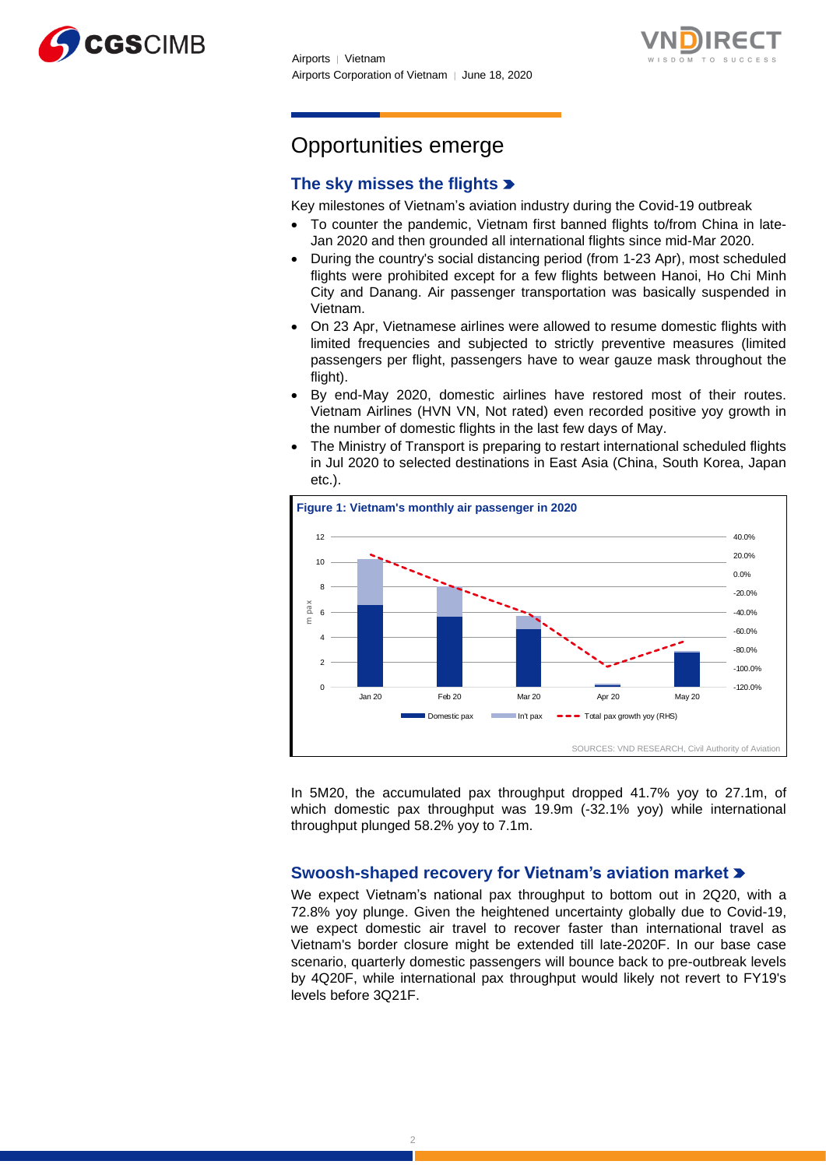



# Opportunities emerge

# **The sky misses the flights**

Key milestones of Vietnam's aviation industry during the Covid-19 outbreak

- To counter the pandemic, Vietnam first banned flights to/from China in late-Jan 2020 and then grounded all international flights since mid-Mar 2020.
- During the country's social distancing period (from 1-23 Apr), most scheduled flights were prohibited except for a few flights between Hanoi, Ho Chi Minh City and Danang. Air passenger transportation was basically suspended in Vietnam.
- On 23 Apr, Vietnamese airlines were allowed to resume domestic flights with limited frequencies and subjected to strictly preventive measures (limited passengers per flight, passengers have to wear gauze mask throughout the flight).
- By end-May 2020, domestic airlines have restored most of their routes. Vietnam Airlines (HVN VN, Not rated) even recorded positive yoy growth in the number of domestic flights in the last few days of May.
- The Ministry of Transport is preparing to restart international scheduled flights in Jul 2020 to selected destinations in East Asia (China, South Korea, Japan etc.).



In 5M20, the accumulated pax throughput dropped 41.7% yoy to 27.1m, of which domestic pax throughput was 19.9m (-32.1% yoy) while international throughput plunged 58.2% yoy to 7.1m.

## **Swoosh-shaped recovery for Vietnam's aviation market**

We expect Vietnam's national pax throughput to bottom out in 2Q20, with a 72.8% yoy plunge. Given the heightened uncertainty globally due to Covid-19, we expect domestic air travel to recover faster than international travel as Vietnam's border closure might be extended till late-2020F. In our base case scenario, quarterly domestic passengers will bounce back to pre-outbreak levels by 4Q20F, while international pax throughput would likely not revert to FY19's levels before 3Q21F.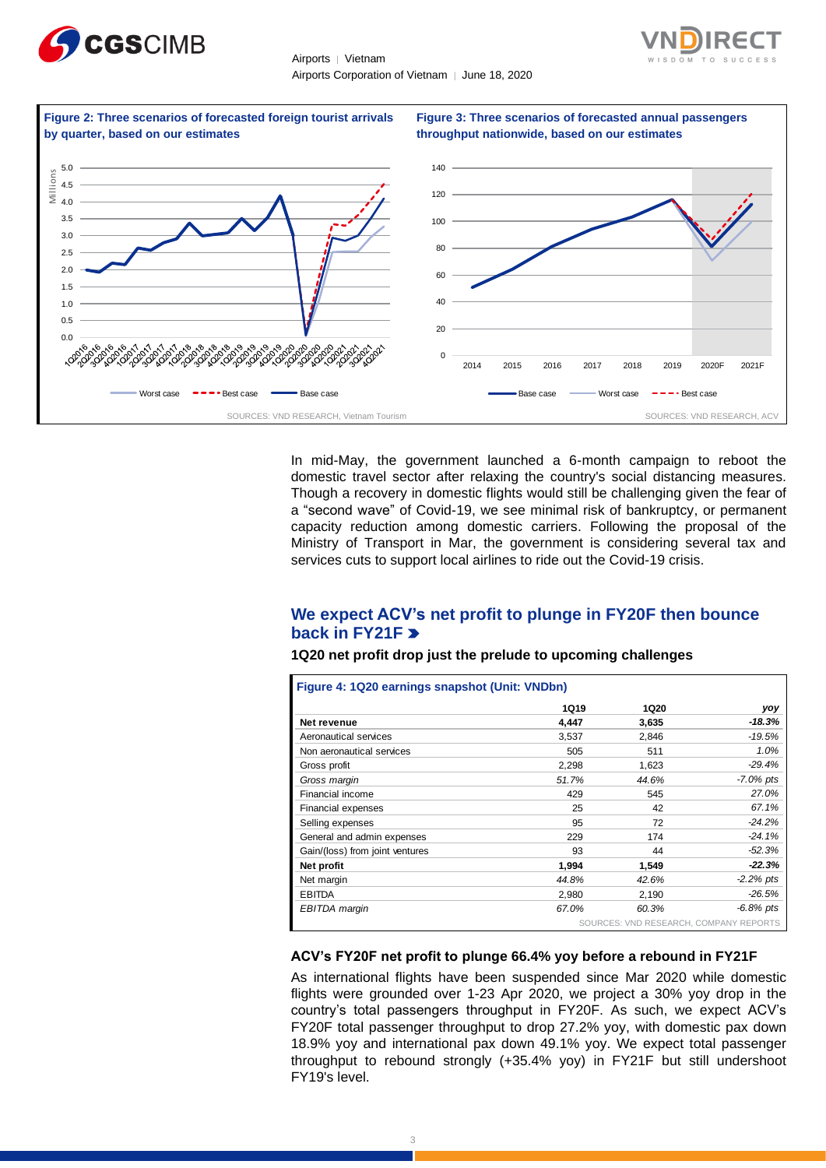





In mid-May, the government launched a 6-month campaign to reboot the domestic travel sector after relaxing the country's social distancing measures. Though a recovery in domestic flights would still be challenging given the fear of a "second wave" of Covid-19, we see minimal risk of bankruptcy, or permanent capacity reduction among domestic carriers. Following the proposal of the Ministry of Transport in Mar, the government is considering several tax and services cuts to support local airlines to ride out the Covid-19 crisis.

# **We expect ACV's net profit to plunge in FY20F then bounce back in FY21F**

|  | 1Q20 net profit drop just the prelude to upcoming challenges |  |  |  |  |
|--|--------------------------------------------------------------|--|--|--|--|
|--|--------------------------------------------------------------|--|--|--|--|

|                                 | <b>1Q19</b> | <b>1Q20</b>                            | yoy          |
|---------------------------------|-------------|----------------------------------------|--------------|
| Net revenue                     | 4,447       | 3,635                                  | $-18.3%$     |
| Aeronautical services           | 3,537       | 2,846                                  | $-19.5%$     |
| Non aeronautical services       | 505         | 511                                    | 1.0%         |
| Gross profit                    | 2,298       | 1,623                                  | $-29.4%$     |
| Gross margin                    | 51.7%       | 44.6%                                  | $-7.0\%$ pts |
| Financial income                | 429         | 545                                    | 27.0%        |
| Financial expenses              | 25          | 42                                     | 67.1%        |
| Selling expenses                | 95          | 72                                     | $-24.2%$     |
| General and admin expenses      | 229         | 174                                    | $-24.1%$     |
| Gain/(loss) from joint ventures | 93          | 44                                     | $-52.3%$     |
| Net profit                      | 1,994       | 1,549                                  | $-22.3%$     |
| Net margin                      | 44.8%       | 42.6%                                  | $-2.2\%$ pts |
| <b>EBITDA</b>                   | 2,980       | 2,190                                  | $-26.5%$     |
| EBITDA margin                   | 67.0%       | 60.3%                                  | $-6.8\%$ pts |
|                                 |             | SOURCES: VND RESEARCH, COMPANY REPORTS |              |

#### **ACV's FY20F net profit to plunge 66.4% yoy before a rebound in FY21F**

As international flights have been suspended since Mar 2020 while domestic flights were grounded over 1-23 Apr 2020, we project a 30% yoy drop in the country's total passengers throughput in FY20F. As such, we expect ACV's FY20F total passenger throughput to drop 27.2% yoy, with domestic pax down 18.9% yoy and international pax down 49.1% yoy. We expect total passenger throughput to rebound strongly (+35.4% yoy) in FY21F but still undershoot FY19's level.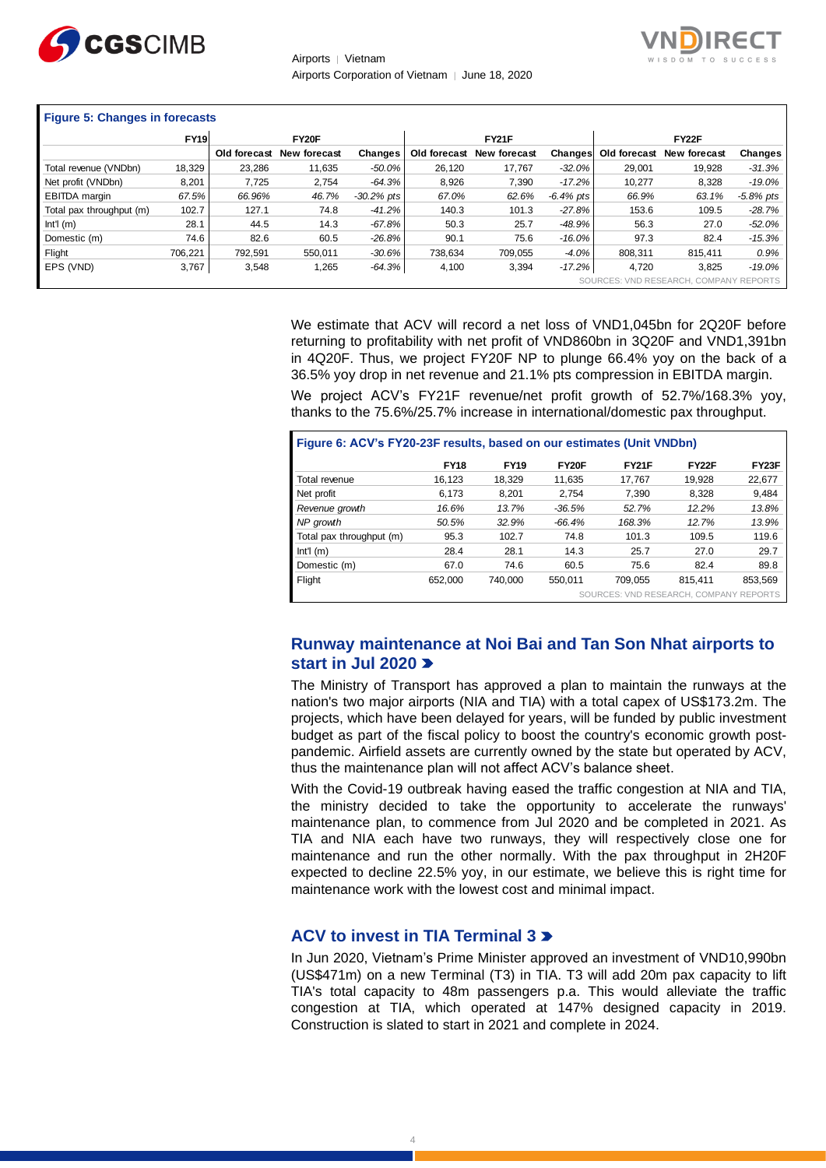



## **Figure 5: Changes in forecasts**

| $\ldots$ and $\ldots$ and $\ldots$ and $\ldots$ |             |              |              |               |              |              |              |              |                                        |              |  |
|-------------------------------------------------|-------------|--------------|--------------|---------------|--------------|--------------|--------------|--------------|----------------------------------------|--------------|--|
|                                                 | <b>FY19</b> |              | FY20F        |               |              | <b>FY21F</b> |              |              | FY22F                                  |              |  |
|                                                 |             | Old forecast | New forecast | Changes       | Old forecast | New forecast | Changes      | Old forecast | <b>New forecast</b>                    | Changes      |  |
| Total revenue (VNDbn)                           | 18.329      | 23.286       | 11,635       | $-50.0\%$     | 26,120       | 17,767       | $-32.0\%$    | 29.001       | 19.928                                 | $-31.3%$     |  |
| Net profit (VNDbn)                              | 8,201       | 7.725        | 2,754        | $-64.3%$      | 8,926        | 7,390        | $-17.2\%$    | 10.277       | 8,328                                  | $-19.0%$     |  |
| EBITDA margin                                   | 67.5%       | 66.96%       | 46.7%        | $-30.2\%$ pts | 67.0%        | 62.6%        | $-6.4\%$ pts | 66.9%        | 63.1%                                  | $-5.8\%$ pts |  |
| Total pax throughput (m)                        | 102.7       | 127.1        | 74.8         | $-41.2%$      | 140.3        | 101.3        | $-27.8\%$    | 153.6        | 109.5                                  | $-28.7%$     |  |
| Int <sup>1</sup> (m)                            | 28.1        | 44.5         | 14.3         | $-67.8%$      | 50.3         | 25.7         | $-48.9\%$    | 56.3         | 27.0                                   | -52.0%       |  |
| Domestic (m)                                    | 74.6        | 82.6         | 60.5         | $-26.8%$      | 90.1         | 75.6         | $-16.0\%$    | 97.3         | 82.4                                   | $-15.3%$     |  |
| Flight                                          | 706.221     | 792.591      | 550.011      | $-30.6%$      | 738.634      | 709.055      | $-4.0%$      | 808.311      | 815.411                                | 0.9%         |  |
| EPS (VND)                                       | 3,767       | 3,548        | 1,265        | $-64.3%$      | 4,100        | 3,394        | $-17.2%$     | 4,720        | 3.825                                  | $-19.0%$     |  |
|                                                 |             |              |              |               |              |              |              |              | SOURCES: VND RESEARCH, COMPANY REPORTS |              |  |

We estimate that ACV will record a net loss of VND1,045bn for 2Q20F before returning to profitability with net profit of VND860bn in 3Q20F and VND1,391bn in 4Q20F. Thus, we project FY20F NP to plunge 66.4% yoy on the back of a 36.5% yoy drop in net revenue and 21.1% pts compression in EBITDA margin.

We project ACV's FY21F revenue/net profit growth of 52.7%/168.3% yoy, thanks to the 75.6%/25.7% increase in international/domestic pax throughput.

| Figure 6: ACV's FY20-23F results, based on our estimates (Unit VNDbn) |             |             |          |                                        |              |         |  |
|-----------------------------------------------------------------------|-------------|-------------|----------|----------------------------------------|--------------|---------|--|
|                                                                       | <b>FY18</b> | <b>FY19</b> | FY20F    | <b>FY21F</b>                           | <b>FY22F</b> | FY23F   |  |
| Total revenue                                                         | 16.123      | 18.329      | 11.635   | 17.767                                 | 19.928       | 22,677  |  |
| Net profit                                                            | 6.173       | 8.201       | 2.754    | 7.390                                  | 8.328        | 9.484   |  |
| Revenue growth                                                        | 16.6%       | 13.7%       | $-36.5%$ | 52.7%                                  | 12.2%        | 13.8%   |  |
| NP growth                                                             | 50.5%       | 32.9%       | $-66.4%$ | 168.3%                                 | 12.7%        | 13.9%   |  |
| Total pax throughput (m)                                              | 95.3        | 102.7       | 74.8     | 101.3                                  | 109.5        | 119.6   |  |
| $Int1$ (m)                                                            | 28.4        | 28.1        | 14.3     | 25.7                                   | 27.0         | 29.7    |  |
| Domestic (m)                                                          | 67.0        | 74.6        | 60.5     | 75.6                                   | 82.4         | 89.8    |  |
| Flight                                                                | 652.000     | 740.000     | 550.011  | 709.055                                | 815.411      | 853.569 |  |
|                                                                       |             |             |          | SOURCES: VND RESEARCH, COMPANY REPORTS |              |         |  |

## **Runway maintenance at Noi Bai and Tan Son Nhat airports to start in Jul 2020**

The Ministry of Transport has approved a plan to maintain the runways at the nation's two major airports (NIA and TIA) with a total capex of US\$173.2m. The projects, which have been delayed for years, will be funded by public investment budget as part of the fiscal policy to boost the country's economic growth postpandemic. Airfield assets are currently owned by the state but operated by ACV, thus the maintenance plan will not affect ACV's balance sheet.

With the Covid-19 outbreak having eased the traffic congestion at NIA and TIA, the ministry decided to take the opportunity to accelerate the runways' maintenance plan, to commence from Jul 2020 and be completed in 2021. As TIA and NIA each have two runways, they will respectively close one for maintenance and run the other normally. With the pax throughput in 2H20F expected to decline 22.5% yoy, in our estimate, we believe this is right time for maintenance work with the lowest cost and minimal impact.

#### **ACV to invest in TIA Terminal 3**

In Jun 2020, Vietnam's Prime Minister approved an investment of VND10,990bn (US\$471m) on a new Terminal (T3) in TIA. T3 will add 20m pax capacity to lift TIA's total capacity to 48m passengers p.a. This would alleviate the traffic congestion at TIA, which operated at 147% designed capacity in 2019. Construction is slated to start in 2021 and complete in 2024.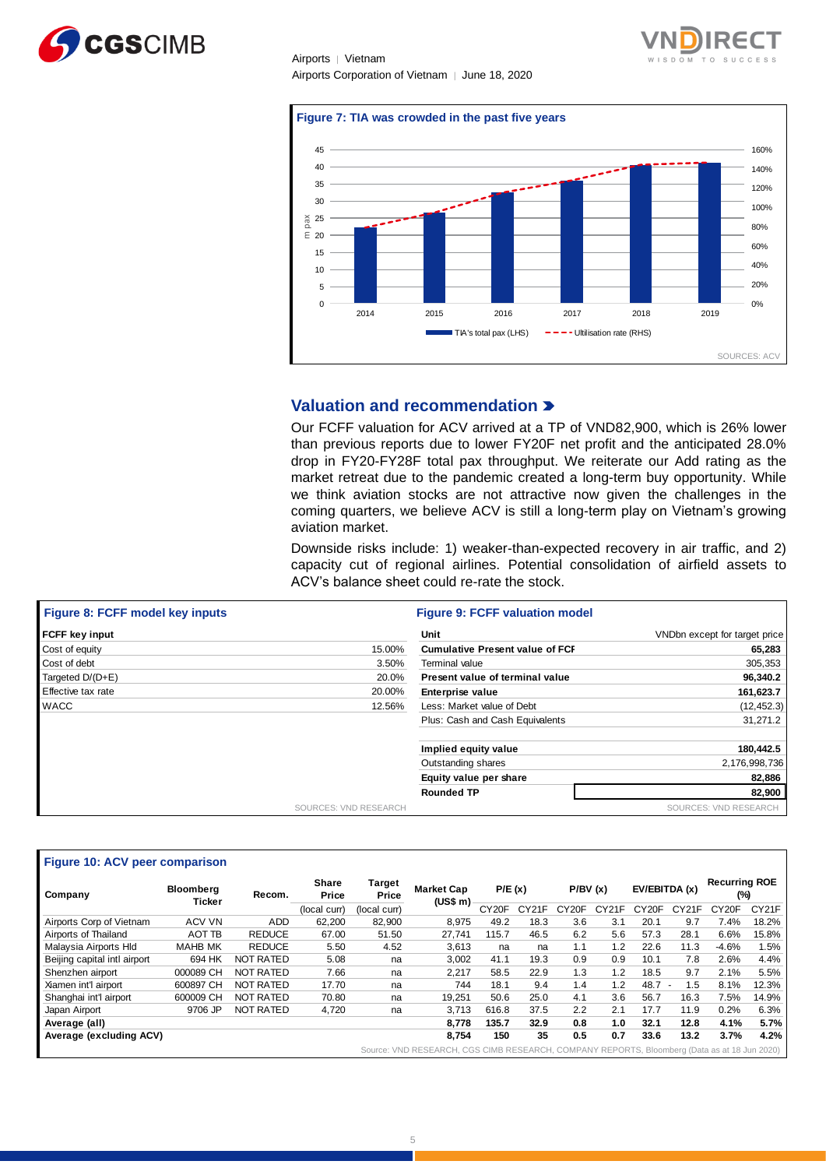





## **Valuation and recommendation**

Our FCFF valuation for ACV arrived at a TP of VND82,900, which is 26% lower than previous reports due to lower FY20F net profit and the anticipated 28.0% drop in FY20-FY28F total pax throughput. We reiterate our Add rating as the market retreat due to the pandemic created a long-term buy opportunity. While we think aviation stocks are not attractive now given the challenges in the coming quarters, we believe ACV is still a long-term play on Vietnam's growing aviation market.

Downside risks include: 1) weaker-than-expected recovery in air traffic, and 2) capacity cut of regional airlines. Potential consolidation of airfield assets to ACV's balance sheet could re-rate the stock.

| Figure 8: FCFF model key inputs | <b>Figure 9: FCFF valuation model</b>  |                               |
|---------------------------------|----------------------------------------|-------------------------------|
| <b>FCFF key input</b>           | <b>Unit</b>                            | VNDbn except for target price |
| 15.00%<br>Cost of equity        | <b>Cumulative Present value of FCI</b> | 65,283                        |
| Cost of debt<br>3.50%           | Terminal value                         | 305,353                       |
| 20.0%<br>Targeted D/(D+E)       | Present value of terminal value        | 96,340.2                      |
| Effective tax rate<br>20.00%    | Enterprise value                       | 161,623.7                     |
| <b>WACC</b><br>12.56%           | Less: Market value of Debt             | (12, 452.3)                   |
|                                 | Plus: Cash and Cash Equivalents        | 31,271.2                      |
|                                 | Implied equity value                   | 180,442.5                     |
|                                 | Outstanding shares                     | 2,176,998,736                 |
|                                 | Equity value per share                 | 82,886                        |
|                                 | <b>Rounded TP</b>                      | 82,900                        |
| SOURCES: VND RESEARCH           |                                        | SOURCES: VND RESEARCH         |

| Figure 10: ACV peer comparison |                            |                  |                       |                 |                                                                                              |                    |       |                    |                    |                    |                                 |                             |       |
|--------------------------------|----------------------------|------------------|-----------------------|-----------------|----------------------------------------------------------------------------------------------|--------------------|-------|--------------------|--------------------|--------------------|---------------------------------|-----------------------------|-------|
| Company                        | <b>Bloomberg</b><br>Ticker | Recom.           | <b>Share</b><br>Price | Target<br>Price | <b>Market Cap</b><br>(US\$ m)                                                                | P/E(x)             |       | P/BV(x)            |                    | EV/EBITDA (x)      |                                 | <b>Recurring ROE</b><br>(%) |       |
|                                |                            |                  | (local curr)          | (local curr)    |                                                                                              | CY <sub>20</sub> F | CY21F | CY <sub>20</sub> F | CY <sub>21</sub> F | CY <sub>20</sub> F | CY21F                           | CY <sub>20</sub> F          | CY21F |
| Airports Corp of Vietnam       | <b>ACV VN</b>              | <b>ADD</b>       | 62,200                | 82,900          | 8.975                                                                                        | 49.2               | 18.3  | 3.6                | 3.1                | 20.1               | 9.7                             | 7.4%                        | 18.2% |
| Airports of Thailand           | <b>AOT TB</b>              | <b>REDUCE</b>    | 67.00                 | 51.50           | 27.741                                                                                       | 115.7              | 46.5  | 6.2                | 5.6                | 57.3               | 28.1                            | 6.6%                        | 15.8% |
| Malaysia Airports Hld          | <b>MAHB MK</b>             | <b>REDUCE</b>    | 5.50                  | 4.52            | 3.613                                                                                        | na                 | na    | 1.1                | 1.2                | 22.6               | 11.3                            | $-4.6%$                     | 1.5%  |
| Beijing capital intl airport   | 694 HK                     | <b>NOT RATED</b> | 5.08                  | na              | 3.002                                                                                        | 41.1               | 19.3  | 0.9                | 0.9                | 10.1               | 7.8                             | 2.6%                        | 4.4%  |
| Shenzhen airport               | 000089 CH                  | <b>NOT RATED</b> | 7.66                  | na              | 2.217                                                                                        | 58.5               | 22.9  | 1.3                | 1.2                | 18.5               | 9.7                             | 2.1%                        | 5.5%  |
| Xiamen int'l airport           | 600897 CH                  | <b>NOT RATED</b> | 17.70                 | na              | 744                                                                                          | 18.1               | 9.4   | 1.4                | 1.2                | 48.7               | 1.5<br>$\overline{\phantom{a}}$ | 8.1%                        | 12.3% |
| Shanghai int'l airport         | 600009 CH                  | <b>NOT RATED</b> | 70.80                 | na              | 19.251                                                                                       | 50.6               | 25.0  | 4.1                | 3.6                | 56.7               | 16.3                            | 7.5%                        | 14.9% |
| Japan Airport                  | 9706 JP                    | NOT RATED        | 4,720                 | na              | 3.713                                                                                        | 616.8              | 37.5  | 2.2                | 2.1                | 17.7               | 11.9                            | 0.2%                        | 6.3%  |
| Average (all)                  |                            |                  |                       |                 | 8.778                                                                                        | 135.7              | 32.9  | 0.8                | 1.0                | 32.1               | 12.8                            | 4.1%                        | 5.7%  |
| Average (excluding ACV)        |                            |                  |                       |                 | 8.754                                                                                        | 150                | 35    | 0.5                | 0.7                | 33.6               | 13.2                            | 3.7%                        | 4.2%  |
|                                |                            |                  |                       |                 | Source: VND RESEARCH, CGS CIMB RESEARCH, COMPANY REPORTS, Bloomberg (Data as at 18 Jun 2020) |                    |       |                    |                    |                    |                                 |                             |       |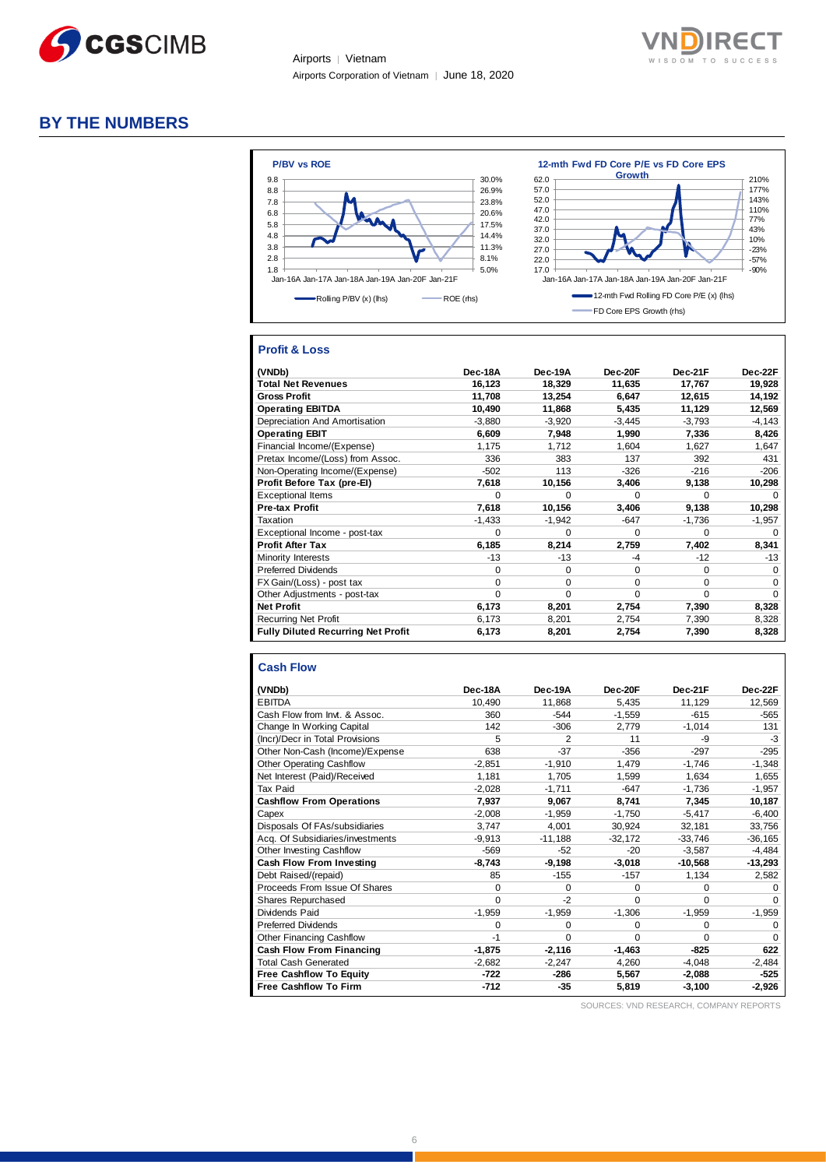



# **BY THE NUMBERS**



#### **Profit & Loss**

| (VNDb)                                    | Dec-18A  | Dec-19A  | Dec-20F  | Dec-21F     | Dec-22F     |
|-------------------------------------------|----------|----------|----------|-------------|-------------|
| <b>Total Net Revenues</b>                 | 16,123   | 18,329   | 11,635   | 17,767      | 19,928      |
| <b>Gross Profit</b>                       | 11,708   | 13,254   | 6,647    | 12,615      | 14,192      |
| <b>Operating EBITDA</b>                   | 10,490   | 11,868   | 5,435    | 11,129      | 12,569      |
| Depreciation And Amortisation             | $-3,880$ | $-3,920$ | $-3,445$ | $-3,793$    | $-4,143$    |
| <b>Operating EBIT</b>                     | 6,609    | 7,948    | 1,990    | 7,336       | 8,426       |
| Financial Income/(Expense)                | 1,175    | 1,712    | 1,604    | 1,627       | 1,647       |
| Pretax Income/(Loss) from Assoc.          | 336      | 383      | 137      | 392         | 431         |
| Non-Operating Income/(Expense)            | $-502$   | 113      | $-326$   | $-216$      | $-206$      |
| Profit Before Tax (pre-EI)                | 7,618    | 10,156   | 3,406    | 9,138       | 10,298      |
| <b>Exceptional Items</b>                  | 0        | O        | 0        | $\Omega$    | $\Omega$    |
| <b>Pre-tax Profit</b>                     | 7,618    | 10,156   | 3,406    | 9,138       | 10,298      |
| Taxation                                  | $-1,433$ | $-1,942$ | $-647$   | $-1,736$    | $-1,957$    |
| Exceptional Income - post-tax             | 0        | $\Omega$ | $\Omega$ | 0           | $\Omega$    |
| <b>Profit After Tax</b>                   | 6,185    | 8,214    | 2,759    | 7,402       | 8,341       |
| Minority Interests                        | -13      | $-13$    | -4       | $-12$       | $-13$       |
| <b>Preferred Dividends</b>                | $\Omega$ | $\Omega$ | $\Omega$ | $\mathbf 0$ | $\mathbf 0$ |
| FX Gain/(Loss) - post tax                 | $\Omega$ | $\Omega$ | $\Omega$ | 0           | $\Omega$    |
| Other Adjustments - post-tax              | $\Omega$ | $\Omega$ | $\Omega$ | $\Omega$    | $\Omega$    |
| <b>Net Profit</b>                         | 6,173    | 8,201    | 2,754    | 7,390       | 8,328       |
| <b>Recurring Net Profit</b>               | 6,173    | 8,201    | 2,754    | 7,390       | 8,328       |
| <b>Fully Diluted Recurring Net Profit</b> | 6,173    | 8,201    | 2,754    | 7,390       | 8,328       |

#### **Cash Flow**

| (VNDb)                           | Dec-18A  | Dec-19A        | Dec-20F   | Dec-21F   | Dec-22F   |
|----------------------------------|----------|----------------|-----------|-----------|-----------|
| <b>EBITDA</b>                    | 10,490   | 11,868         | 5,435     | 11,129    | 12,569    |
| Cash Flow from Invt. & Assoc.    | 360      | $-544$         | $-1,559$  | $-615$    | $-565$    |
| Change In Working Capital        | 142      | $-306$         | 2,779     | $-1,014$  | 131       |
| (Incr)/Decr in Total Provisions  | 5        | $\overline{2}$ | 11        | -9        | -3        |
| Other Non-Cash (Income)/Expense  | 638      | $-37$          | $-356$    | $-297$    | $-295$    |
| <b>Other Operating Cashflow</b>  | $-2.851$ | $-1,910$       | 1,479     | $-1.746$  | $-1,348$  |
| Net Interest (Paid)/Received     | 1,181    | 1,705          | 1.599     | 1.634     | 1,655     |
| Tax Paid                         | $-2,028$ | $-1,711$       | $-647$    | $-1.736$  | $-1,957$  |
| <b>Cashflow From Operations</b>  | 7,937    | 9,067          | 8,741     | 7,345     | 10,187    |
| Capex                            | $-2.008$ | $-1.959$       | $-1.750$  | $-5.417$  | $-6,400$  |
| Disposals Of FAs/subsidiaries    | 3,747    | 4,001          | 30,924    | 32,181    | 33,756    |
| Acq. Of Subsidiaries/investments | $-9.913$ | $-11.188$      | $-32.172$ | $-33,746$ | $-36,165$ |
| <b>Other Investing Cashflow</b>  | $-569$   | $-52$          | $-20$     | $-3,587$  | $-4,484$  |
| Cash Flow From Investing         | $-8.743$ | $-9,198$       | $-3,018$  | $-10,568$ | $-13,293$ |
| Debt Raised/(repaid)             | 85       | $-155$         | $-157$    | 1,134     | 2,582     |
| Proceeds From Issue Of Shares    | 0        | $\Omega$       | $\Omega$  | 0         | $\Omega$  |
| <b>Shares Repurchased</b>        | 0        | $-2$           | $\Omega$  | $\Omega$  | $\Omega$  |
| Dividends Paid                   | $-1,959$ | $-1,959$       | $-1,306$  | $-1,959$  | $-1,959$  |
| <b>Preferred Dividends</b>       | 0        | $\Omega$       | $\Omega$  | $\Omega$  | $\Omega$  |
| <b>Other Financing Cashflow</b>  | $-1$     | $\Omega$       | $\Omega$  | $\Omega$  | $\Omega$  |
| Cash Flow From Financing         | $-1.875$ | $-2,116$       | $-1,463$  | $-825$    | 622       |
| <b>Total Cash Generated</b>      | $-2,682$ | $-2,247$       | 4,260     | $-4,048$  | $-2,484$  |
| Free Cashflow To Equity          | $-722$   | $-286$         | 5,567     | $-2.088$  | $-525$    |
| <b>Free Cashflow To Firm</b>     | -712     | $-35$          | 5,819     | $-3,100$  | $-2,926$  |

SOURCES: VND RESEARCH, COMPANY REPORTS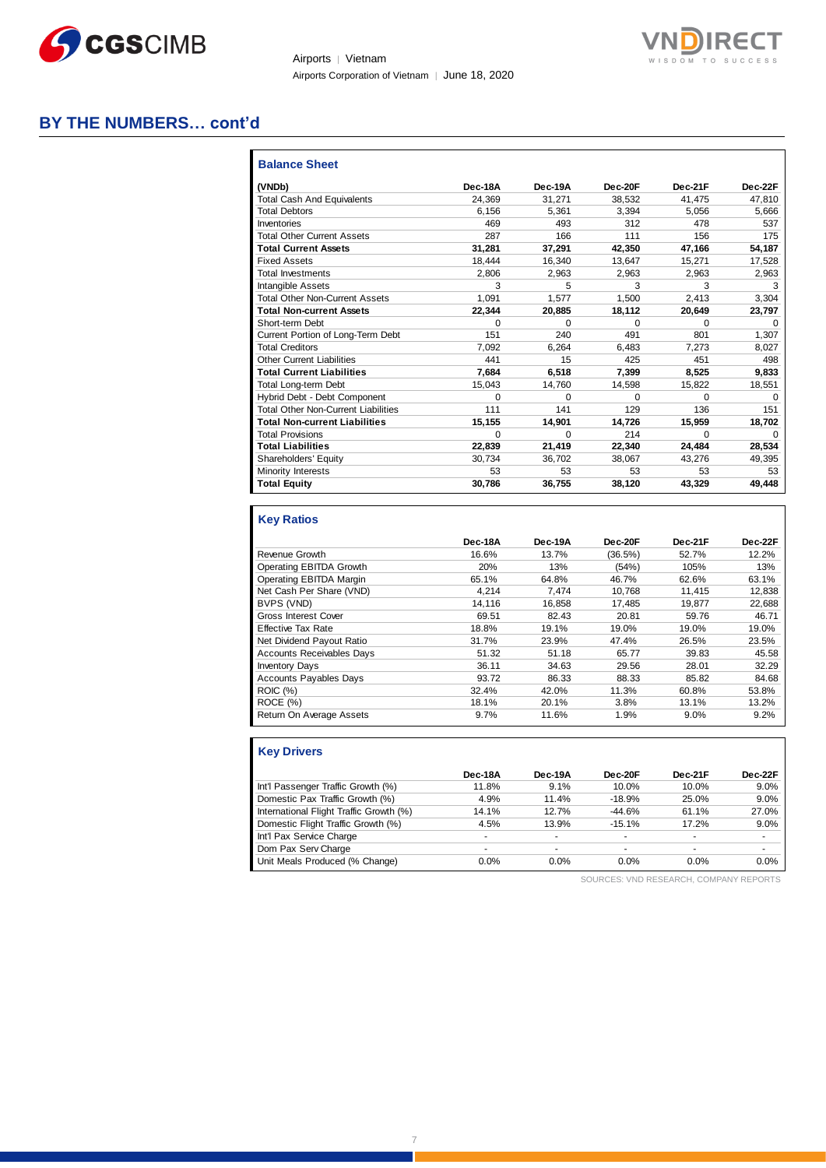



# **BY THE NUMBERS… cont'd**

| <b>Balance Sheet</b>                       |          |          |          |              |          |
|--------------------------------------------|----------|----------|----------|--------------|----------|
| (VNDb)                                     | Dec-18A  | Dec-19A  | Dec-20F  | Dec-21F      | Dec-22F  |
| <b>Total Cash And Equivalents</b>          | 24.369   | 31.271   | 38,532   | 41.475       | 47.810   |
| <b>Total Debtors</b>                       | 6,156    | 5,361    | 3,394    | 5,056        | 5,666    |
| Inventories                                | 469      | 493      | 312      | 478          | 537      |
| <b>Total Other Current Assets</b>          | 287      | 166      | 111      | 156          | 175      |
| <b>Total Current Assets</b>                | 31.281   | 37,291   | 42.350   | 47.166       | 54.187   |
| <b>Fixed Assets</b>                        | 18,444   | 16,340   | 13,647   | 15,271       | 17,528   |
| <b>Total Investments</b>                   | 2.806    | 2.963    | 2,963    | 2,963        | 2,963    |
| <b>Intangible Assets</b>                   | 3        | 5        | 3        | 3            | 3        |
| <b>Total Other Non-Current Assets</b>      | 1.091    | 1.577    | 1.500    | 2.413        | 3,304    |
| <b>Total Non-current Assets</b>            | 22,344   | 20,885   | 18,112   | 20,649       | 23,797   |
| Short-term Debt                            | $\Omega$ | $\Omega$ | $\Omega$ | <sup>0</sup> | $\Omega$ |
| Current Portion of Long-Term Debt          | 151      | 240      | 491      | 801          | 1.307    |
| <b>Total Creditors</b>                     | 7.092    | 6.264    | 6.483    | 7.273        | 8.027    |
| <b>Other Current Liabilities</b>           | 441      | 15       | 425      | 451          | 498      |
| <b>Total Current Liabilities</b>           | 7.684    | 6.518    | 7,399    | 8,525        | 9,833    |
| <b>Total Long-term Debt</b>                | 15,043   | 14,760   | 14,598   | 15,822       | 18,551   |
| Hybrid Debt - Debt Component               | $\Omega$ | $\Omega$ | $\Omega$ | $\Omega$     | $\Omega$ |
| <b>Total Other Non-Current Liabilities</b> | 111      | 141      | 129      | 136          | 151      |
| <b>Total Non-current Liabilities</b>       | 15,155   | 14,901   | 14.726   | 15,959       | 18,702   |
| <b>Total Provisions</b>                    | $\Omega$ | $\Omega$ | 214      | $\Omega$     | $\Omega$ |
| <b>Total Liabilities</b>                   | 22.839   | 21,419   | 22.340   | 24.484       | 28,534   |
| Shareholders' Equity                       | 30,734   | 36,702   | 38,067   | 43,276       | 49,395   |
| Minority Interests                         | 53       | 53       | 53       | 53           | 53       |
| <b>Total Equity</b>                        | 30.786   | 36,755   | 38,120   | 43.329       | 49,448   |

#### **Key Ratios**

|                                  | Dec-18A | Dec-19A | Dec-20F    | Dec-21F | Dec-22F |
|----------------------------------|---------|---------|------------|---------|---------|
| Revenue Growth                   | 16.6%   | 13.7%   | $(36.5\%)$ | 52.7%   | 12.2%   |
| Operating EBITDA Growth          | 20%     | 13%     | (54%)      | 105%    | 13%     |
| Operating EBITDA Margin          | 65.1%   | 64.8%   | 46.7%      | 62.6%   | 63.1%   |
| Net Cash Per Share (VND)         | 4.214   | 7.474   | 10.768     | 11.415  | 12,838  |
| BVPS (VND)                       | 14.116  | 16.858  | 17.485     | 19.877  | 22.688  |
| <b>Gross Interest Cover</b>      | 69.51   | 82.43   | 20.81      | 59.76   | 46.71   |
| <b>Effective Tax Rate</b>        | 18.8%   | 19.1%   | 19.0%      | 19.0%   | 19.0%   |
| Net Dividend Payout Ratio        | 31.7%   | 23.9%   | 47.4%      | 26.5%   | 23.5%   |
| <b>Accounts Receivables Days</b> | 51.32   | 51.18   | 65.77      | 39.83   | 45.58   |
| <b>Inventory Days</b>            | 36.11   | 34.63   | 29.56      | 28.01   | 32.29   |
| <b>Accounts Payables Days</b>    | 93.72   | 86.33   | 88.33      | 85.82   | 84.68   |
| <b>ROIC (%)</b>                  | 32.4%   | 42.0%   | 11.3%      | 60.8%   | 53.8%   |
| ROCE(%)                          | 18.1%   | 20.1%   | 3.8%       | 13.1%   | 13.2%   |
| Return On Average Assets         | 9.7%    | 11.6%   | 1.9%       | 9.0%    | 9.2%    |

| <b>Key Drivers</b>                      |         |                          |          |                |         |
|-----------------------------------------|---------|--------------------------|----------|----------------|---------|
|                                         | Dec-18A | Dec-19A                  | Dec-20F  | Dec-21F        | Dec-22F |
| Int'l Passenger Traffic Growth (%)      | 11.8%   | 9.1%                     | 10.0%    | 10.0%          | 9.0%    |
| Domestic Pax Traffic Growth (%)         | 4.9%    | 11.4%                    | $-18.9%$ | 25.0%          | 9.0%    |
| International Flight Traffic Growth (%) | 14.1%   | 12.7%                    | $-44.6%$ | 61.1%          | 27.0%   |
| Domestic Flight Traffic Growth (%)      | 4.5%    | 13.9%                    | $-15.1%$ | 17.2%          | 9.0%    |
| Int'l Pax Service Charge                |         | $\overline{a}$           | ۰        | $\overline{a}$ |         |
| Dom Pax Serv Charge                     | -       | $\overline{\phantom{a}}$ | ۰        | $\overline{a}$ |         |
| Unit Meals Produced (% Change)          | 0.0%    | 0.0%                     | 0.0%     | $0.0\%$        | 0.0%    |

SOURCES: VND RESEARCH, COMPANY REPORTS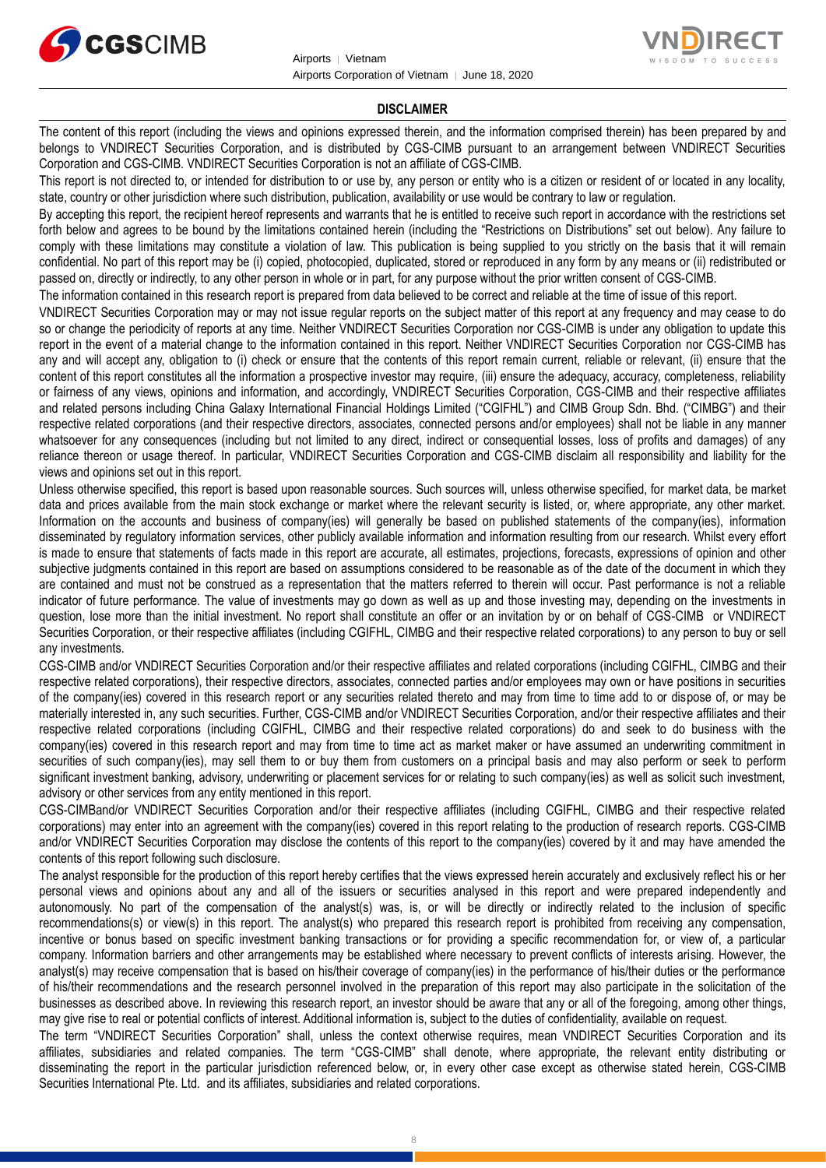



#### **DISCLAIMER**

The content of this report (including the views and opinions expressed therein, and the information comprised therein) has been prepared by and belongs to VNDIRECT Securities Corporation, and is distributed by CGS-CIMB pursuant to an arrangement between VNDIRECT Securities Corporation and CGS-CIMB. VNDIRECT Securities Corporation is not an affiliate of CGS-CIMB.

This report is not directed to, or intended for distribution to or use by, any person or entity who is a citizen or resident of or located in any locality, state, country or other jurisdiction where such distribution, publication, availability or use would be contrary to law or regulation.

By accepting this report, the recipient hereof represents and warrants that he is entitled to receive such report in accordance with the restrictions set forth below and agrees to be bound by the limitations contained herein (including the "Restrictions on Distributions" set out below). Any failure to comply with these limitations may constitute a violation of law. This publication is being supplied to you strictly on the basis that it will remain confidential. No part of this report may be (i) copied, photocopied, duplicated, stored or reproduced in any form by any means or (ii) redistributed or passed on, directly or indirectly, to any other person in whole or in part, for any purpose without the prior written consent of CGS-CIMB.

The information contained in this research report is prepared from data believed to be correct and reliable at the time of issue of this report.

VNDIRECT Securities Corporation may or may not issue regular reports on the subject matter of this report at any frequency and may cease to do so or change the periodicity of reports at any time. Neither VNDIRECT Securities Corporation nor CGS-CIMB is under any obligation to update this report in the event of a material change to the information contained in this report. Neither VNDIRECT Securities Corporation nor CGS-CIMB has any and will accept any, obligation to (i) check or ensure that the contents of this report remain current, reliable or relevant, (ii) ensure that the content of this report constitutes all the information a prospective investor may require, (iii) ensure the adequacy, accuracy, completeness, reliability or fairness of any views, opinions and information, and accordingly, VNDIRECT Securities Corporation, CGS-CIMB and their respective affiliates and related persons including China Galaxy International Financial Holdings Limited ("CGIFHL") and CIMB Group Sdn. Bhd. ("CIMBG") and their respective related corporations (and their respective directors, associates, connected persons and/or employees) shall not be liable in any manner whatsoever for any consequences (including but not limited to any direct, indirect or consequential losses, loss of profits and damages) of any reliance thereon or usage thereof. In particular, VNDIRECT Securities Corporation and CGS-CIMB disclaim all responsibility and liability for the views and opinions set out in this report.

Unless otherwise specified, this report is based upon reasonable sources. Such sources will, unless otherwise specified, for market data, be market data and prices available from the main stock exchange or market where the relevant security is listed, or, where appropriate, any other market. Information on the accounts and business of company(ies) will generally be based on published statements of the company(ies), information disseminated by regulatory information services, other publicly available information and information resulting from our research. Whilst every effort is made to ensure that statements of facts made in this report are accurate, all estimates, projections, forecasts, expressions of opinion and other subjective judgments contained in this report are based on assumptions considered to be reasonable as of the date of the document in which they are contained and must not be construed as a representation that the matters referred to therein will occur. Past performance is not a reliable indicator of future performance. The value of investments may go down as well as up and those investing may, depending on the investments in question, lose more than the initial investment. No report shall constitute an offer or an invitation by or on behalf of CGS-CIMB or VNDIRECT Securities Corporation, or their respective affiliates (including CGIFHL, CIMBG and their respective related corporations) to any person to buy or sell any investments.

CGS-CIMB and/or VNDIRECT Securities Corporation and/or their respective affiliates and related corporations (including CGIFHL, CIMBG and their respective related corporations), their respective directors, associates, connected parties and/or employees may own or have positions in securities of the company(ies) covered in this research report or any securities related thereto and may from time to time add to or dispose of, or may be materially interested in, any such securities. Further, CGS-CIMB and/or VNDIRECT Securities Corporation, and/or their respective affiliates and their respective related corporations (including CGIFHL, CIMBG and their respective related corporations) do and seek to do business with the company(ies) covered in this research report and may from time to time act as market maker or have assumed an underwriting commitment in securities of such company(ies), may sell them to or buy them from customers on a principal basis and may also perform or seek to perform significant investment banking, advisory, underwriting or placement services for or relating to such company(ies) as well as solicit such investment, advisory or other services from any entity mentioned in this report.

CGS-CIMBand/or VNDIRECT Securities Corporation and/or their respective affiliates (including CGIFHL, CIMBG and their respective related corporations) may enter into an agreement with the company(ies) covered in this report relating to the production of research reports. CGS-CIMB and/or VNDIRECT Securities Corporation may disclose the contents of this report to the company(ies) covered by it and may have amended the contents of this report following such disclosure.

The analyst responsible for the production of this report hereby certifies that the views expressed herein accurately and exclusively reflect his or her personal views and opinions about any and all of the issuers or securities analysed in this report and were prepared independently and autonomously. No part of the compensation of the analyst(s) was, is, or will be directly or indirectly related to the inclusion of specific recommendations(s) or view(s) in this report. The analyst(s) who prepared this research report is prohibited from receiving any compensation, incentive or bonus based on specific investment banking transactions or for providing a specific recommendation for, or view of, a particular company. Information barriers and other arrangements may be established where necessary to prevent conflicts of interests arising. However, the analyst(s) may receive compensation that is based on his/their coverage of company(ies) in the performance of his/their duties or the performance of his/their recommendations and the research personnel involved in the preparation of this report may also participate in the solicitation of the businesses as described above. In reviewing this research report, an investor should be aware that any or all of the foregoing, among other things, may give rise to real or potential conflicts of interest. Additional information is, subject to the duties of confidentiality, available on request.

The term "VNDIRECT Securities Corporation" shall, unless the context otherwise requires, mean VNDIRECT Securities Corporation and its affiliates, subsidiaries and related companies. The term "CGS-CIMB" shall denote, where appropriate, the relevant entity distributing or disseminating the report in the particular jurisdiction referenced below, or, in every other case except as otherwise stated herein, CGS-CIMB Securities International Pte. Ltd. and its affiliates, subsidiaries and related corporations.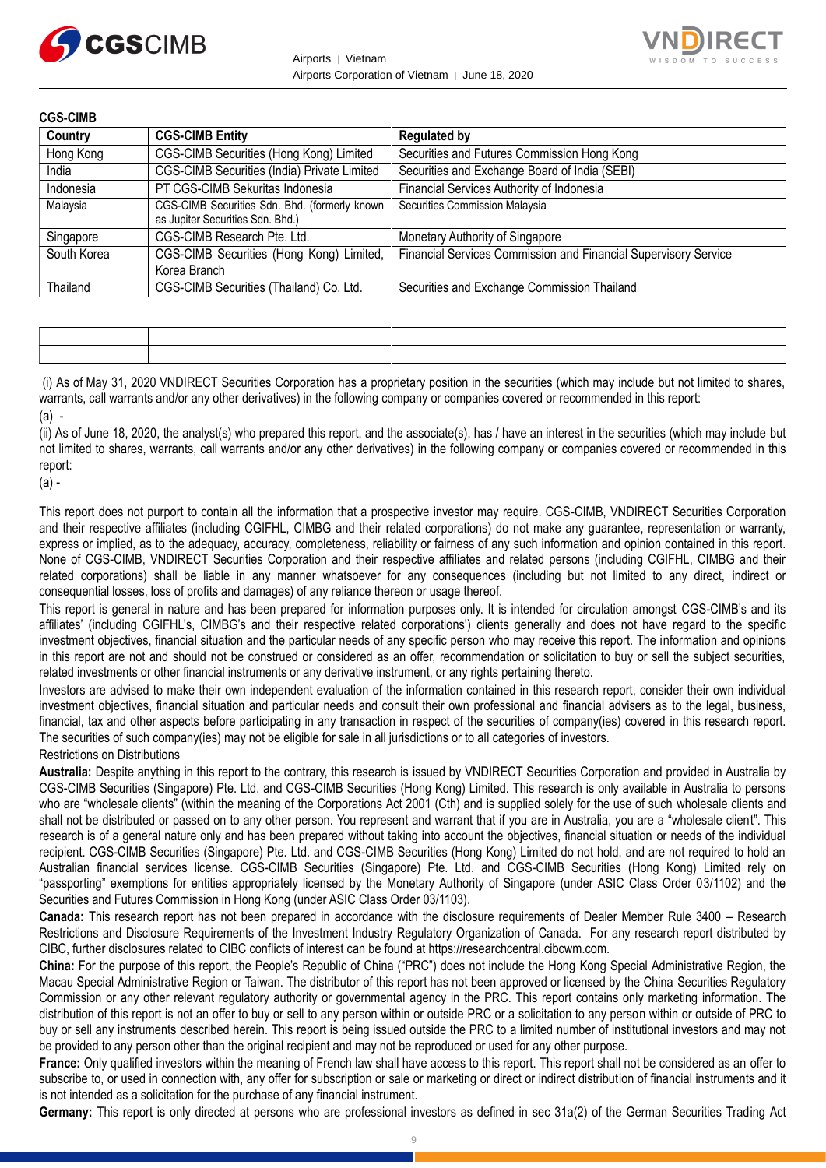



| <b>CGS-CIMB</b> |                                                                                   |                                                                 |
|-----------------|-----------------------------------------------------------------------------------|-----------------------------------------------------------------|
| Country         | <b>CGS-CIMB Entity</b>                                                            | <b>Regulated by</b>                                             |
| Hong Kong       | CGS-CIMB Securities (Hong Kong) Limited                                           | Securities and Futures Commission Hong Kong                     |
| India           | CGS-CIMB Securities (India) Private Limited                                       | Securities and Exchange Board of India (SEBI)                   |
| Indonesia       | PT CGS-CIMB Sekuritas Indonesia                                                   | Financial Services Authority of Indonesia                       |
| Malaysia        | CGS-CIMB Securities Sdn. Bhd. (formerly known<br>as Jupiter Securities Sdn. Bhd.) | Securities Commission Malaysia                                  |
| Singapore       | CGS-CIMB Research Pte. Ltd.                                                       | Monetary Authority of Singapore                                 |
| South Korea     | CGS-CIMB Securities (Hong Kong) Limited,<br>Korea Branch                          | Financial Services Commission and Financial Supervisory Service |
| Thailand        | CGS-CIMB Securities (Thailand) Co. Ltd.                                           | Securities and Exchange Commission Thailand                     |

| <u> 1989 - Johann Harry Harry Harry Harry Harry Harry Harry Harry Harry Harry Harry Harry Harry Harry Harry Harry</u> |  |
|-----------------------------------------------------------------------------------------------------------------------|--|
|                                                                                                                       |  |

(i) As of May 31, 2020 VNDIRECT Securities Corporation has a proprietary position in the securities (which may include but not limited to shares, warrants, call warrants and/or any other derivatives) in the following company or companies covered or recommended in this report:  $(a)$  -

(ii) As of June 18, 2020, the analyst(s) who prepared this report, and the associate(s), has / have an interest in the securities (which may include but not limited to shares, warrants, call warrants and/or any other derivatives) in the following company or companies covered or recommended in this report:

(a) -

This report does not purport to contain all the information that a prospective investor may require. CGS-CIMB, VNDIRECT Securities Corporation and their respective affiliates (including CGIFHL, CIMBG and their related corporations) do not make any guarantee, representation or warranty, express or implied, as to the adequacy, accuracy, completeness, reliability or fairness of any such information and opinion contained in this report. None of CGS-CIMB, VNDIRECT Securities Corporation and their respective affiliates and related persons (including CGIFHL, CIMBG and their related corporations) shall be liable in any manner whatsoever for any consequences (including but not limited to any direct, indirect or consequential losses, loss of profits and damages) of any reliance thereon or usage thereof.

This report is general in nature and has been prepared for information purposes only. It is intended for circulation amongst CGS-CIMB's and its affiliates' (including CGIFHL's, CIMBG's and their respective related corporations') clients generally and does not have regard to the specific investment objectives, financial situation and the particular needs of any specific person who may receive this report. The information and opinions in this report are not and should not be construed or considered as an offer, recommendation or solicitation to buy or sell the subject securities, related investments or other financial instruments or any derivative instrument, or any rights pertaining thereto.

Investors are advised to make their own independent evaluation of the information contained in this research report, consider their own individual investment objectives, financial situation and particular needs and consult their own professional and financial advisers as to the legal, business, financial, tax and other aspects before participating in any transaction in respect of the securities of company(ies) covered in this research report. The securities of such company(ies) may not be eligible for sale in all jurisdictions or to all categories of investors.

#### Restrictions on Distributions

**Australia:** Despite anything in this report to the contrary, this research is issued by VNDIRECT Securities Corporation and provided in Australia by CGS-CIMB Securities (Singapore) Pte. Ltd. and CGS-CIMB Securities (Hong Kong) Limited. This research is only available in Australia to persons who are "wholesale clients" (within the meaning of the Corporations Act 2001 (Cth) and is supplied solely for the use of such wholesale clients and shall not be distributed or passed on to any other person. You represent and warrant that if you are in Australia, you are a "wholesale client". This research is of a general nature only and has been prepared without taking into account the objectives, financial situation or needs of the individual recipient. CGS-CIMB Securities (Singapore) Pte. Ltd. and CGS-CIMB Securities (Hong Kong) Limited do not hold, and are not required to hold an Australian financial services license. CGS-CIMB Securities (Singapore) Pte. Ltd. and CGS-CIMB Securities (Hong Kong) Limited rely on "passporting" exemptions for entities appropriately licensed by the Monetary Authority of Singapore (under ASIC Class Order 03/1102) and the Securities and Futures Commission in Hong Kong (under ASIC Class Order 03/1103).

**Canada:** This research report has not been prepared in accordance with the disclosure requirements of Dealer Member Rule 3400 – Research Restrictions and Disclosure Requirements of the Investment Industry Regulatory Organization of Canada. For any research report distributed by CIBC, further disclosures related to CIBC conflicts of interest can be found at https://researchcentral.cibcwm.com.

**China:** For the purpose of this report, the People's Republic of China ("PRC") does not include the Hong Kong Special Administrative Region, the Macau Special Administrative Region or Taiwan. The distributor of this report has not been approved or licensed by the China Securities Regulatory Commission or any other relevant regulatory authority or governmental agency in the PRC. This report contains only marketing information. The distribution of this report is not an offer to buy or sell to any person within or outside PRC or a solicitation to any person within or outside of PRC to buy or sell any instruments described herein. This report is being issued outside the PRC to a limited number of institutional investors and may not be provided to any person other than the original recipient and may not be reproduced or used for any other purpose.

**France:** Only qualified investors within the meaning of French law shall have access to this report. This report shall not be considered as an offer to subscribe to, or used in connection with, any offer for subscription or sale or marketing or direct or indirect distribution of financial instruments and it is not intended as a solicitation for the purchase of any financial instrument.

**Germany:** This report is only directed at persons who are professional investors as defined in sec 31a(2) of the German Securities Trading Act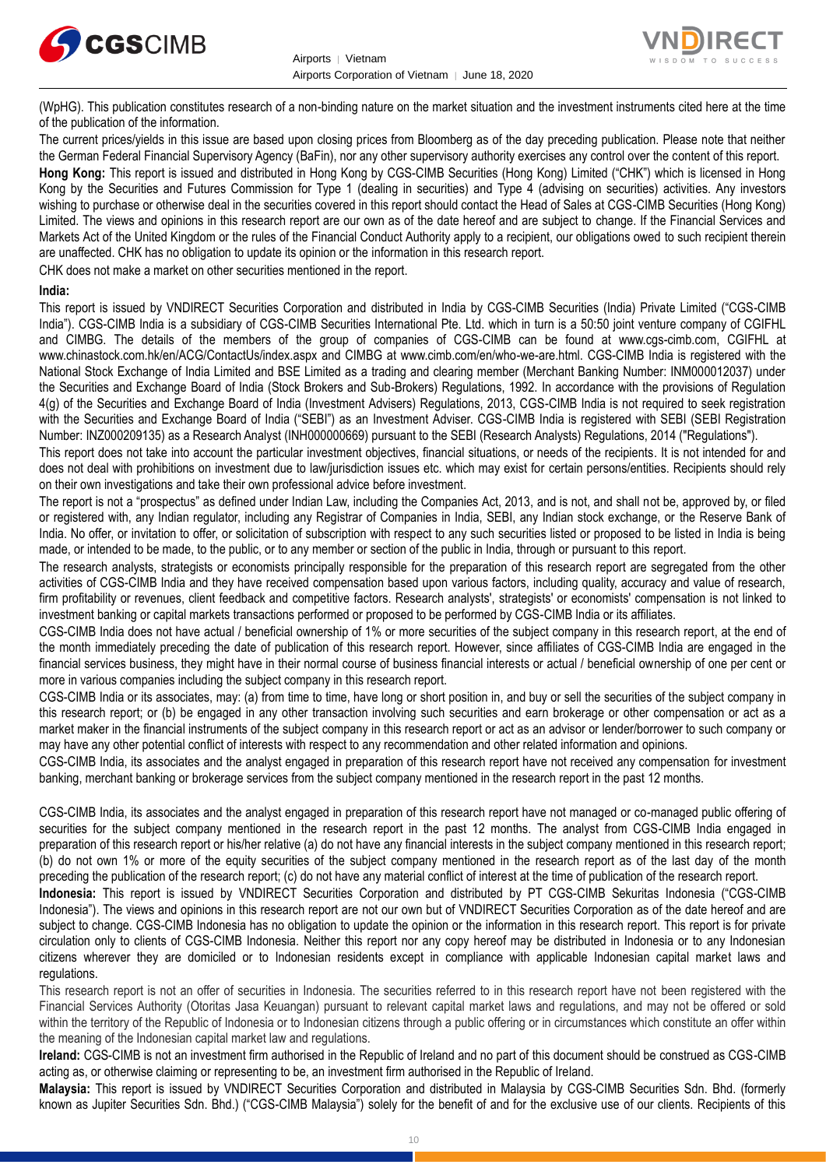



(WpHG). This publication constitutes research of a non-binding nature on the market situation and the investment instruments cited here at the time of the publication of the information.

The current prices/yields in this issue are based upon closing prices from Bloomberg as of the day preceding publication. Please note that neither the German Federal Financial Supervisory Agency (BaFin), nor any other supervisory authority exercises any control over the content of this report. **Hong Kong:** This report is issued and distributed in Hong Kong by CGS-CIMB Securities (Hong Kong) Limited ("CHK") which is licensed in Hong Kong by the Securities and Futures Commission for Type 1 (dealing in securities) and Type 4 (advising on securities) activities. Any investors wishing to purchase or otherwise deal in the securities covered in this report should contact the Head of Sales at CGS-CIMB Securities (Hong Kong) Limited. The views and opinions in this research report are our own as of the date hereof and are subject to change. If the Financial Services and Markets Act of the United Kingdom or the rules of the Financial Conduct Authority apply to a recipient, our obligations owed to such recipient therein are unaffected. CHK has no obligation to update its opinion or the information in this research report.

CHK does not make a market on other securities mentioned in the report.

#### **India:**

This report is issued by VNDIRECT Securities Corporation and distributed in India by CGS-CIMB Securities (India) Private Limited ("CGS-CIMB India"). CGS-CIMB India is a subsidiary of CGS-CIMB Securities International Pte. Ltd. which in turn is a 50:50 joint venture company of CGIFHL and CIMBG. The details of the members of the group of companies of CGS-CIMB can be found at www.cgs-cimb.com, CGIFHL at www.chinastock.com.hk/en/ACG/ContactUs/index.aspx and CIMBG at www.cimb.com/en/who-we-are.html. CGS-CIMB India is registered with the National Stock Exchange of India Limited and BSE Limited as a trading and clearing member (Merchant Banking Number: INM000012037) under the Securities and Exchange Board of India (Stock Brokers and Sub-Brokers) Regulations, 1992. In accordance with the provisions of Regulation 4(g) of the Securities and Exchange Board of India (Investment Advisers) Regulations, 2013, CGS-CIMB India is not required to seek registration with the Securities and Exchange Board of India ("SEBI") as an Investment Adviser. CGS-CIMB India is registered with SEBI (SEBI Registration Number: INZ000209135) as a Research Analyst (INH000000669) pursuant to the SEBI (Research Analysts) Regulations, 2014 ("Regulations").

This report does not take into account the particular investment objectives, financial situations, or needs of the recipients. It is not intended for and does not deal with prohibitions on investment due to law/jurisdiction issues etc. which may exist for certain persons/entities. Recipients should rely on their own investigations and take their own professional advice before investment.

The report is not a "prospectus" as defined under Indian Law, including the Companies Act, 2013, and is not, and shall not be, approved by, or filed or registered with, any Indian regulator, including any Registrar of Companies in India, SEBI, any Indian stock exchange, or the Reserve Bank of India. No offer, or invitation to offer, or solicitation of subscription with respect to any such securities listed or proposed to be listed in India is being made, or intended to be made, to the public, or to any member or section of the public in India, through or pursuant to this report.

The research analysts, strategists or economists principally responsible for the preparation of this research report are segregated from the other activities of CGS-CIMB India and they have received compensation based upon various factors, including quality, accuracy and value of research, firm profitability or revenues, client feedback and competitive factors. Research analysts', strategists' or economists' compensation is not linked to investment banking or capital markets transactions performed or proposed to be performed by CGS-CIMB India or its affiliates.

CGS-CIMB India does not have actual / beneficial ownership of 1% or more securities of the subject company in this research report, at the end of the month immediately preceding the date of publication of this research report. However, since affiliates of CGS-CIMB India are engaged in the financial services business, they might have in their normal course of business financial interests or actual / beneficial ownership of one per cent or more in various companies including the subject company in this research report.

CGS-CIMB India or its associates, may: (a) from time to time, have long or short position in, and buy or sell the securities of the subject company in this research report; or (b) be engaged in any other transaction involving such securities and earn brokerage or other compensation or act as a market maker in the financial instruments of the subject company in this research report or act as an advisor or lender/borrower to such company or may have any other potential conflict of interests with respect to any recommendation and other related information and opinions.

CGS-CIMB India, its associates and the analyst engaged in preparation of this research report have not received any compensation for investment banking, merchant banking or brokerage services from the subject company mentioned in the research report in the past 12 months.

CGS-CIMB India, its associates and the analyst engaged in preparation of this research report have not managed or co-managed public offering of securities for the subject company mentioned in the research report in the past 12 months. The analyst from CGS-CIMB India engaged in preparation of this research report or his/her relative (a) do not have any financial interests in the subject company mentioned in this research report; (b) do not own 1% or more of the equity securities of the subject company mentioned in the research report as of the last day of the month preceding the publication of the research report; (c) do not have any material conflict of interest at the time of publication of the research report.

**Indonesia:** This report is issued by VNDIRECT Securities Corporation and distributed by PT CGS-CIMB Sekuritas Indonesia ("CGS-CIMB Indonesia"). The views and opinions in this research report are not our own but of VNDIRECT Securities Corporation as of the date hereof and are subject to change. CGS-CIMB Indonesia has no obligation to update the opinion or the information in this research report. This report is for private circulation only to clients of CGS-CIMB Indonesia. Neither this report nor any copy hereof may be distributed in Indonesia or to any Indonesian citizens wherever they are domiciled or to Indonesian residents except in compliance with applicable Indonesian capital market laws and regulations.

This research report is not an offer of securities in Indonesia. The securities referred to in this research report have not been registered with the Financial Services Authority (Otoritas Jasa Keuangan) pursuant to relevant capital market laws and regulations, and may not be offered or sold within the territory of the Republic of Indonesia or to Indonesian citizens through a public offering or in circumstances which constitute an offer within the meaning of the Indonesian capital market law and regulations.

**Ireland:** CGS-CIMB is not an investment firm authorised in the Republic of Ireland and no part of this document should be construed as CGS-CIMB acting as, or otherwise claiming or representing to be, an investment firm authorised in the Republic of Ireland.

**Malaysia:** This report is issued by VNDIRECT Securities Corporation and distributed in Malaysia by CGS-CIMB Securities Sdn. Bhd. (formerly known as Jupiter Securities Sdn. Bhd.) ("CGS-CIMB Malaysia") solely for the benefit of and for the exclusive use of our clients. Recipients of this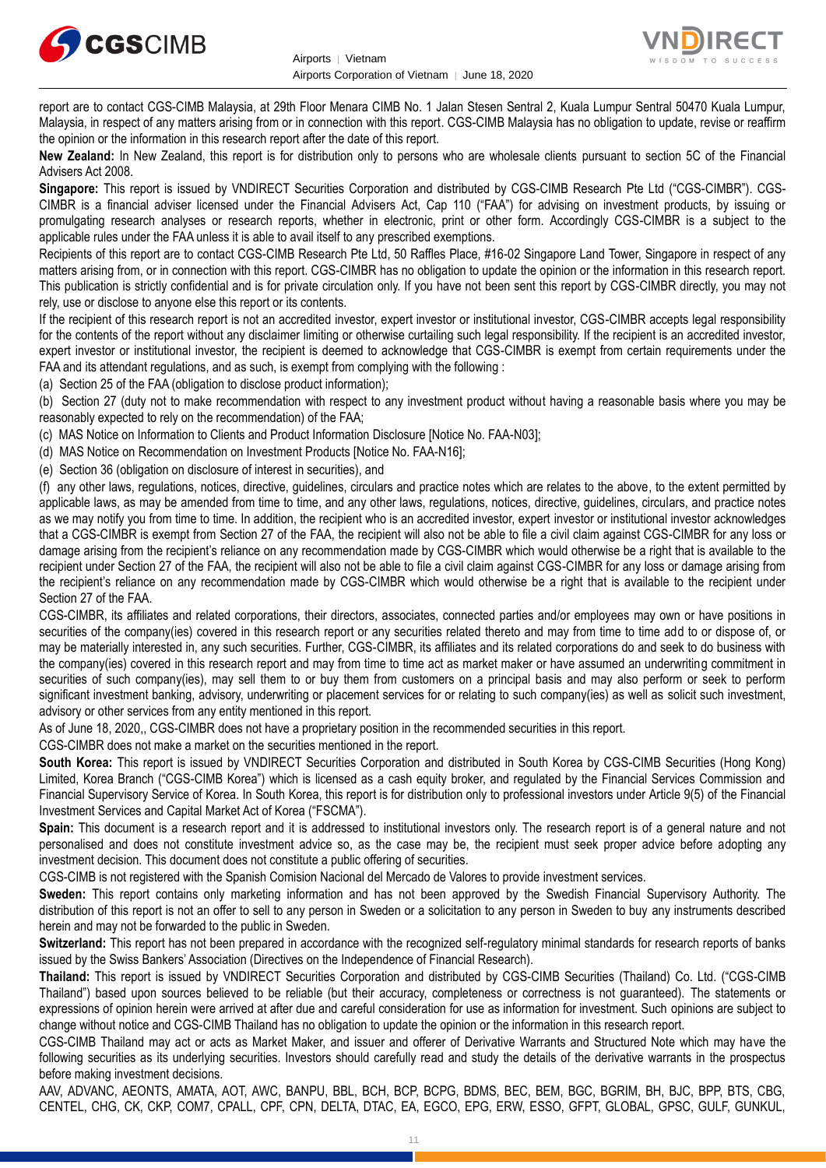



report are to contact CGS-CIMB Malaysia, at 29th Floor Menara CIMB No. 1 Jalan Stesen Sentral 2, Kuala Lumpur Sentral 50470 Kuala Lumpur, Malaysia, in respect of any matters arising from or in connection with this report. CGS-CIMB Malaysia has no obligation to update, revise or reaffirm the opinion or the information in this research report after the date of this report.

**New Zealand:** In New Zealand, this report is for distribution only to persons who are wholesale clients pursuant to section 5C of the Financial Advisers Act 2008.

**Singapore:** This report is issued by VNDIRECT Securities Corporation and distributed by CGS-CIMB Research Pte Ltd ("CGS-CIMBR"). CGS-CIMBR is a financial adviser licensed under the Financial Advisers Act, Cap 110 ("FAA") for advising on investment products, by issuing or promulgating research analyses or research reports, whether in electronic, print or other form. Accordingly CGS-CIMBR is a subject to the applicable rules under the FAA unless it is able to avail itself to any prescribed exemptions.

Recipients of this report are to contact CGS-CIMB Research Pte Ltd, 50 Raffles Place, #16-02 Singapore Land Tower, Singapore in respect of any matters arising from, or in connection with this report. CGS-CIMBR has no obligation to update the opinion or the information in this research report. This publication is strictly confidential and is for private circulation only. If you have not been sent this report by CGS-CIMBR directly, you may not rely, use or disclose to anyone else this report or its contents.

If the recipient of this research report is not an accredited investor, expert investor or institutional investor, CGS-CIMBR accepts legal responsibility for the contents of the report without any disclaimer limiting or otherwise curtailing such legal responsibility. If the recipient is an accredited investor, expert investor or institutional investor, the recipient is deemed to acknowledge that CGS-CIMBR is exempt from certain requirements under the FAA and its attendant regulations, and as such, is exempt from complying with the following :

(a) Section 25 of the FAA (obligation to disclose product information);

(b) Section 27 (duty not to make recommendation with respect to any investment product without having a reasonable basis where you may be reasonably expected to rely on the recommendation) of the FAA;

(c) MAS Notice on Information to Clients and Product Information Disclosure [Notice No. FAA-N03];

(d) MAS Notice on Recommendation on Investment Products [Notice No. FAA-N16];

(e) Section 36 (obligation on disclosure of interest in securities), and

(f) any other laws, regulations, notices, directive, guidelines, circulars and practice notes which are relates to the above, to the extent permitted by applicable laws, as may be amended from time to time, and any other laws, regulations, notices, directive, guidelines, circulars, and practice notes as we may notify you from time to time. In addition, the recipient who is an accredited investor, expert investor or institutional investor acknowledges that a CGS-CIMBR is exempt from Section 27 of the FAA, the recipient will also not be able to file a civil claim against CGS-CIMBR for any loss or damage arising from the recipient's reliance on any recommendation made by CGS-CIMBR which would otherwise be a right that is available to the recipient under Section 27 of the FAA, the recipient will also not be able to file a civil claim against CGS-CIMBR for any loss or damage arising from the recipient's reliance on any recommendation made by CGS-CIMBR which would otherwise be a right that is available to the recipient under Section 27 of the FAA.

CGS-CIMBR, its affiliates and related corporations, their directors, associates, connected parties and/or employees may own or have positions in securities of the company(ies) covered in this research report or any securities related thereto and may from time to time add to or dispose of, or may be materially interested in, any such securities. Further, CGS-CIMBR, its affiliates and its related corporations do and seek to do business with the company(ies) covered in this research report and may from time to time act as market maker or have assumed an underwriting commitment in securities of such company(ies), may sell them to or buy them from customers on a principal basis and may also perform or seek to perform significant investment banking, advisory, underwriting or placement services for or relating to such company(ies) as well as solicit such investment, advisory or other services from any entity mentioned in this report.

As of June 18, 2020,, CGS-CIMBR does not have a proprietary position in the recommended securities in this report.

CGS-CIMBR does not make a market on the securities mentioned in the report.

**South Korea:** This report is issued by VNDIRECT Securities Corporation and distributed in South Korea by CGS-CIMB Securities (Hong Kong) Limited, Korea Branch ("CGS-CIMB Korea") which is licensed as a cash equity broker, and regulated by the Financial Services Commission and Financial Supervisory Service of Korea. In South Korea, this report is for distribution only to professional investors under Article 9(5) of the Financial Investment Services and Capital Market Act of Korea ("FSCMA").

**Spain:** This document is a research report and it is addressed to institutional investors only. The research report is of a general nature and not personalised and does not constitute investment advice so, as the case may be, the recipient must seek proper advice before adopting any investment decision. This document does not constitute a public offering of securities.

CGS-CIMB is not registered with the Spanish Comision Nacional del Mercado de Valores to provide investment services.

**Sweden:** This report contains only marketing information and has not been approved by the Swedish Financial Supervisory Authority. The distribution of this report is not an offer to sell to any person in Sweden or a solicitation to any person in Sweden to buy any instruments described herein and may not be forwarded to the public in Sweden.

**Switzerland:** This report has not been prepared in accordance with the recognized self-regulatory minimal standards for research reports of banks issued by the Swiss Bankers' Association (Directives on the Independence of Financial Research).

**Thailand:** This report is issued by VNDIRECT Securities Corporation and distributed by CGS-CIMB Securities (Thailand) Co. Ltd. ("CGS-CIMB Thailand") based upon sources believed to be reliable (but their accuracy, completeness or correctness is not guaranteed). The statements or expressions of opinion herein were arrived at after due and careful consideration for use as information for investment. Such opinions are subject to change without notice and CGS-CIMB Thailand has no obligation to update the opinion or the information in this research report.

CGS-CIMB Thailand may act or acts as Market Maker, and issuer and offerer of Derivative Warrants and Structured Note which may have the following securities as its underlying securities. Investors should carefully read and study the details of the derivative warrants in the prospectus before making investment decisions.

AAV, ADVANC, AEONTS, AMATA, AOT, AWC, BANPU, BBL, BCH, BCP, BCPG, BDMS, BEC, BEM, BGC, BGRIM, BH, BJC, BPP, BTS, CBG, CENTEL, CHG, CK, CKP, COM7, CPALL, CPF, CPN, DELTA, DTAC, EA, EGCO, EPG, ERW, ESSO, GFPT, GLOBAL, GPSC, GULF, GUNKUL,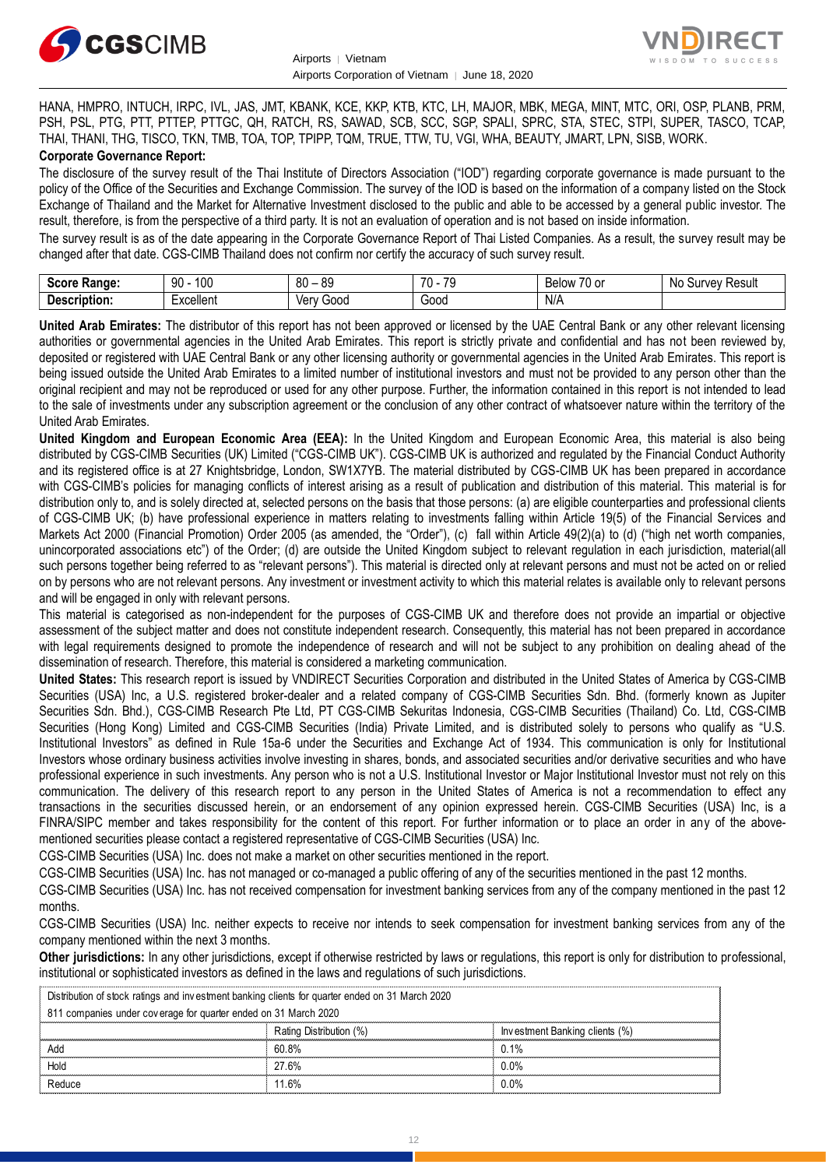



HANA, HMPRO, INTUCH, IRPC, IVL, JAS, JMT, KBANK, KCE, KKP, KTB, KTC, LH, MAJOR, MBK, MEGA, MINT, MTC, ORI, OSP, PLANB, PRM, PSH, PSL, PTG, PTT, PTTEP, PTTGC, QH, RATCH, RS, SAWAD, SCB, SCC, SGP, SPALI, SPRC, STA, STEC, STPI, SUPER, TASCO, TCAP, THAI, THANI, THG, TISCO, TKN, TMB, TOA, TOP, TPIPP, TQM, TRUE, TTW, TU, VGI, WHA, BEAUTY, JMART, LPN, SISB, WORK. **Corporate Governance Report:**

The disclosure of the survey result of the Thai Institute of Directors Association ("IOD") regarding corporate governance is made pursuant to the policy of the Office of the Securities and Exchange Commission. The survey of the IOD is based on the information of a company listed on the Stock Exchange of Thailand and the Market for Alternative Investment disclosed to the public and able to be accessed by a general public investor. The result, therefore, is from the perspective of a third party. It is not an evaluation of operation and is not based on inside information.

The survey result is as of the date appearing in the Corporate Governance Report of Thai Listed Companies. As a result, the survey result may be changed after that date. CGS-CIMB Thailand does not confirm nor certify the accuracy of such survey result.

| <b>Casus</b><br>Range:<br>əcor | 100<br>۵O<br>IJΜ                | .or<br>80<br>へい<br>$\overline{\phantom{a}}$ | 70<br>$\overline{\phantom{a}}$<br>. | $\overline{\phantom{a}}$<br>Relow<br>'U oi | Result<br>$\sim$<br>Nı<br>,,,<br>יוור.<br>u<br> |
|--------------------------------|---------------------------------|---------------------------------------------|-------------------------------------|--------------------------------------------|-------------------------------------------------|
| -<br>Description:              | -voollant<br><b>_</b> ∧Cellerit | 000خ<br>/\nu<br>791                         | Good                                | N/A                                        |                                                 |

**United Arab Emirates:** The distributor of this report has not been approved or licensed by the UAE Central Bank or any other relevant licensing authorities or governmental agencies in the United Arab Emirates. This report is strictly private and confidential and has not been reviewed by, deposited or registered with UAE Central Bank or any other licensing authority or governmental agencies in the United Arab Emirates. This report is being issued outside the United Arab Emirates to a limited number of institutional investors and must not be provided to any person other than the original recipient and may not be reproduced or used for any other purpose. Further, the information contained in this report is not intended to lead to the sale of investments under any subscription agreement or the conclusion of any other contract of whatsoever nature within the territory of the United Arab Emirates.

**United Kingdom and European Economic Area (EEA):** In the United Kingdom and European Economic Area, this material is also being distributed by CGS-CIMB Securities (UK) Limited ("CGS-CIMB UK"). CGS-CIMB UK is authorized and regulated by the Financial Conduct Authority and its registered office is at 27 Knightsbridge, London, SW1X7YB. The material distributed by CGS-CIMB UK has been prepared in accordance with CGS-CIMB's policies for managing conflicts of interest arising as a result of publication and distribution of this material. This material is for distribution only to, and is solely directed at, selected persons on the basis that those persons: (a) are eligible counterparties and professional clients of CGS-CIMB UK; (b) have professional experience in matters relating to investments falling within Article 19(5) of the Financial Services and Markets Act 2000 (Financial Promotion) Order 2005 (as amended, the "Order"), (c) fall within Article 49(2)(a) to (d) ("high net worth companies, unincorporated associations etc") of the Order; (d) are outside the United Kingdom subject to relevant regulation in each jurisdiction, material(all such persons together being referred to as "relevant persons"). This material is directed only at relevant persons and must not be acted on or relied on by persons who are not relevant persons. Any investment or investment activity to which this material relates is available only to relevant persons and will be engaged in only with relevant persons.

This material is categorised as non-independent for the purposes of CGS-CIMB UK and therefore does not provide an impartial or objective assessment of the subject matter and does not constitute independent research. Consequently, this material has not been prepared in accordance with legal requirements designed to promote the independence of research and will not be subject to any prohibition on dealing ahead of the dissemination of research. Therefore, this material is considered a marketing communication.

**United States:** This research report is issued by VNDIRECT Securities Corporation and distributed in the United States of America by CGS-CIMB Securities (USA) Inc, a U.S. registered broker-dealer and a related company of CGS-CIMB Securities Sdn. Bhd. (formerly known as Jupiter Securities Sdn. Bhd.), CGS-CIMB Research Pte Ltd, PT CGS-CIMB Sekuritas Indonesia, CGS-CIMB Securities (Thailand) Co. Ltd, CGS-CIMB Securities (Hong Kong) Limited and CGS-CIMB Securities (India) Private Limited, and is distributed solely to persons who qualify as "U.S. Institutional Investors" as defined in Rule 15a-6 under the Securities and Exchange Act of 1934. This communication is only for Institutional Investors whose ordinary business activities involve investing in shares, bonds, and associated securities and/or derivative securities and who have professional experience in such investments. Any person who is not a U.S. Institutional Investor or Major Institutional Investor must not rely on this communication. The delivery of this research report to any person in the United States of America is not a recommendation to effect any transactions in the securities discussed herein, or an endorsement of any opinion expressed herein. CGS-CIMB Securities (USA) Inc, is a FINRA/SIPC member and takes responsibility for the content of this report. For further information or to place an order in any of the abovementioned securities please contact a registered representative of CGS-CIMB Securities (USA) Inc.

CGS-CIMB Securities (USA) Inc. does not make a market on other securities mentioned in the report.

CGS-CIMB Securities (USA) Inc. has not managed or co-managed a public offering of any of the securities mentioned in the past 12 months.

CGS-CIMB Securities (USA) Inc. has not received compensation for investment banking services from any of the company mentioned in the past 12 months.

CGS-CIMB Securities (USA) Inc. neither expects to receive nor intends to seek compensation for investment banking services from any of the company mentioned within the next 3 months.

**Other jurisdictions:** In any other jurisdictions, except if otherwise restricted by laws or regulations, this report is only for distribution to professional, institutional or sophisticated investors as defined in the laws and regulations of such jurisdictions. being the purisdictions: In any other jurisdictions, except if otherwise restricted by langulational or sophisticated investors as defined in the laws and regulations of such Distribution of stock ratings and investment ba

| <b>Other jurisdictions:</b> In any other jurisdictions, except if otherwise restricted by laws or regulations, this report is only for distribution to<br>institutional or sophisticated investors as defined in the laws and regulations of such jurisdictions. |                         |                                |  |  |
|------------------------------------------------------------------------------------------------------------------------------------------------------------------------------------------------------------------------------------------------------------------|-------------------------|--------------------------------|--|--|
| Distribution of stock ratings and investment banking clients for quarter ended on 31 March 2020                                                                                                                                                                  |                         |                                |  |  |
| 811 companies under coverage for quarter ended on 31 March 2020                                                                                                                                                                                                  |                         |                                |  |  |
|                                                                                                                                                                                                                                                                  | Rating Distribution (%) | Investment Banking clients (%) |  |  |
| Add                                                                                                                                                                                                                                                              | 60.8%                   | 0.1%                           |  |  |
| Hold                                                                                                                                                                                                                                                             | 27.6%                   | $0.0\%$                        |  |  |
| Reduce                                                                                                                                                                                                                                                           | 11.6%                   | $0.0\%$                        |  |  |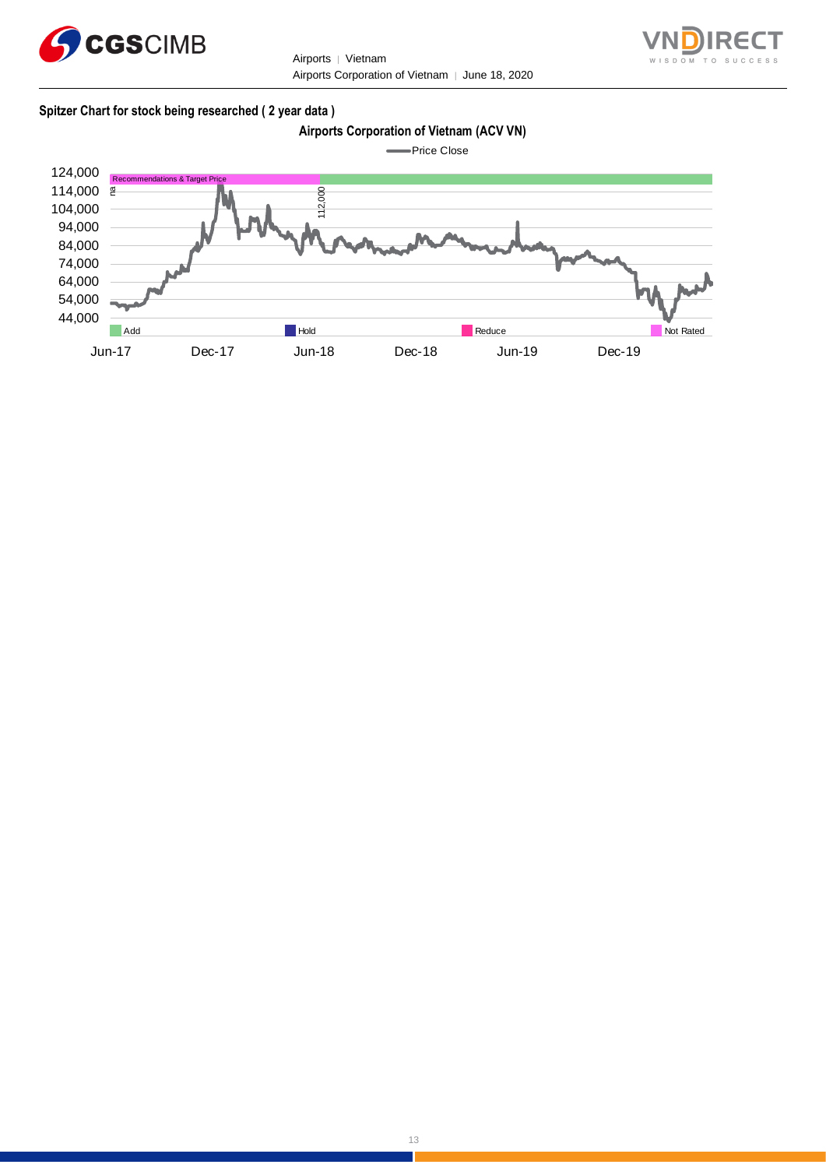



#### **Spitzer Chart for stock being researched ( 2 year data )**

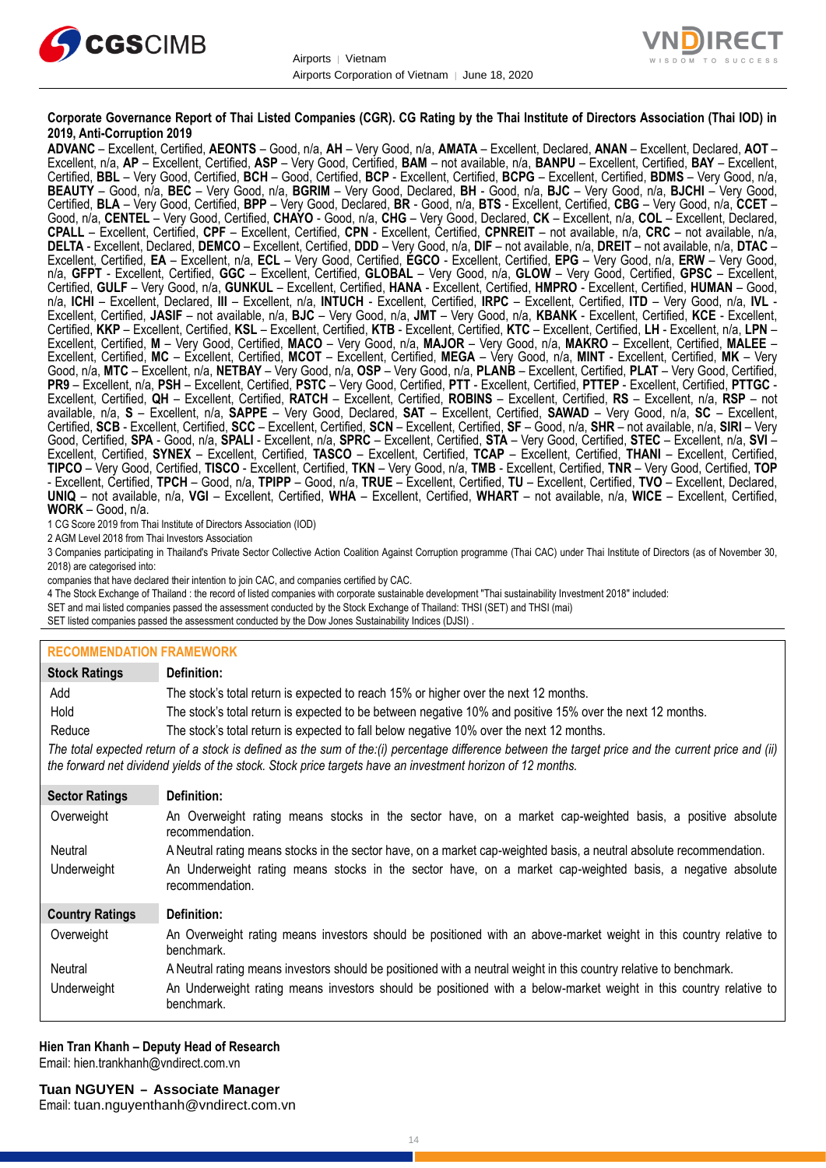



#### **Corporate Governance Report of Thai Listed Companies (CGR). CG Rating by the Thai Institute of Directors Association (Thai IOD) in 2019, Anti-Corruption 2019**

**ADVANC** – Excellent, Certified, **AEONTS** – Good, n/a, **AH** – Very Good, n/a, **AMATA** – Excellent, Declared, **ANAN** – Excellent, Declared, **AOT** – Excellent, n/a, **AP** – Excellent, Certified, **ASP** – Very Good, Certified, **BAM** – not available, n/a, **BANPU** – Excellent, Certified, **BAY** – Excellent, Certified, **BBL** – Very Good, Certified, **BCH** – Good, Certified, **BCP** - Excellent, Certified, **BCPG** – Excellent, Certified, **BDMS** – Very Good, n/a, **BEAUTY** – Good, n/a, **BEC** – Very Good, n/a, **BGRIM** – Very Good, Declared, **BH** - Good, n/a, **BJC** – Very Good, n/a, **BJCHI** – Very Good, Certified, **BLA** – Very Good, Certified, **BPP** – Very Good, Declared, **BR** - Good, n/a, **BTS** - Excellent, Certified, **CBG** – Very Good, n/a, **CCET** – Good, n/a, **CENTEL** – Very Good, Certified, **CHAYO** - Good, n/a, **CHG** – Very Good, Declared, **CK** – Excellent, n/a, **COL** – Excellent, Declared, **CPALL** – Excellent, Certified, **CPF** – Excellent, Certified, **CPN** - Excellent, Certified, **CPNREIT** – not available, n/a, **CRC** – not available, n/a, **DELTA** - Excellent, Declared, **DEMCO** – Excellent, Certified, **DDD** – Very Good, n/a, **DIF** – not available, n/a, **DREIT** – not available, n/a, **DTAC** – Excellent, Certified, **EA** – Excellent, n/a, **ECL** – Very Good, Certified, **EGCO** - Excellent, Certified, **EPG** – Very Good, n/a, **ERW** – Very Good, n/a, **GFPT** - Excellent, Certified, **GGC** – Excellent, Certified, **GLOBAL** – Very Good, n/a, **GLOW** – Very Good, Certified, **GPSC** – Excellent, Certified, **GULF** – Very Good, n/a, **GUNKUL** – Excellent, Certified, **HANA** - Excellent, Certified, **HMPRO** - Excellent, Certified, **HUMAN** – Good, n/a, **ICHI** – Excellent, Declared, **III** – Excellent, n/a, **INTUCH** - Excellent, Certified, **IRPC** – Excellent, Certified, **ITD** – Very Good, n/a, **IVL** - Excellent, Certified, **JASIF** – not available, n/a, **BJC** – Very Good, n/a, **JMT** – Very Good, n/a, **KBANK** - Excellent, Certified, **KCE** - Excellent, Certified, **KKP** – Excellent, Certified, **KSL** – Excellent, Certified, **KTB** - Excellent, Certified, **KTC** – Excellent, Certified, **LH** - Excellent, n/a, **LPN** – Excellent, Certified, **M** – Very Good, Certified, **MACO** – Very Good, n/a, **MAJOR** – Very Good, n/a, **MAKRO** – Excellent, Certified, **MALEE** – Excellent, Certified, **MC** – Excellent, Certified, **MCOT** – Excellent, Certified, **MEGA** – Very Good, n/a, **MINT** - Excellent, Certified, **MK** – Very Good, n/a, **MTC** – Excellent, n/a, **NETBAY** – Very Good, n/a, **OSP** – Very Good, n/a, **PLANB** – Excellent, Certified, **PLAT** – Very Good, Certified, **PR9** – Excellent, n/a, **PSH** – Excellent, Certified, **PSTC** – Very Good, Certified, **PTT** - Excellent, Certified, **PTTEP** - Excellent, Certified, **PTTGC** - Excellent, Certified, **QH** – Excellent, Certified, **RATCH** – Excellent, Certified, **ROBINS** – Excellent, Certified, **RS** – Excellent, n/a, **RSP** – not available, n/a, **S** – Excellent, n/a, **SAPPE** – Very Good, Declared, **SAT** – Excellent, Certified, **SAWAD** – Very Good, n/a, **SC** – Excellent, Certified, **SCB** - Excellent, Certified, **SCC** – Excellent, Certified, **SCN** – Excellent, Certified, **SF** – Good, n/a, **SHR** – not available, n/a, **SIRI** – Very Good, Certified, **SPA** - Good, n/a, **SPALI** - Excellent, n/a, **SPRC** – Excellent, Certified, **STA** – Very Good, Certified, **STEC** – Excellent, n/a, **SVI** – Excellent, Certified, **SYNEX** – Excellent, Certified, **TASCO** – Excellent, Certified, **TCAP** – Excellent, Certified, **THANI** – Excellent, Certified, **TIPCO** – Very Good, Certified, **TISCO** - Excellent, Certified, **TKN** – Very Good, n/a, **TMB** - Excellent, Certified, **TNR** – Very Good, Certified, **TOP** - Excellent, Certified, **TPCH** – Good, n/a, **TPIPP** – Good, n/a, **TRUE** – Excellent, Certified, **TU** – Excellent, Certified, **TVO** – Excellent, Declared, **UNIQ** – not available, n/a, **VGI** – Excellent, Certified, **WHA** – Excellent, Certified, **WHART** – not available, n/a, **WICE** – Excellent, Certified, **WORK** – Good, n/a.

1 CG Score 2019 from Thai Institute of Directors Association (IOD)

2 AGM Level 2018 from Thai Investors Association

3 Companies participating in Thailand's Private Sector Collective Action Coalition Against Corruption programme (Thai CAC) under Thai Institute of Directors (as of November 30, 2018) are categorised into:

companies that have declared their intention to join CAC, and companies certified by CAC.

4 [The Stock Exchange of Thailand : the record of listed companies with corporate sustainable development "Thai sustainability Investment 2018" included:](http://www.set.or.th/sustainable_dev/en/sr/sri/tsi_p1.html)

SET and mai listed companies passed the assessment conducted by the Stock Exchange of Thailand: THSI (SET) and THSI (mai)

SET listed companies passed the assessment conducted by the Dow Jones Sustainability Indices (DJSI)

#### **RECOMMENDATION FRAMEWORK**

| <b>Stock Ratings</b>   | Definition:                                                                                                                                                                                                                                                       |
|------------------------|-------------------------------------------------------------------------------------------------------------------------------------------------------------------------------------------------------------------------------------------------------------------|
| Add                    | The stock's total return is expected to reach 15% or higher over the next 12 months.                                                                                                                                                                              |
| Hold                   | The stock's total return is expected to be between negative 10% and positive 15% over the next 12 months.                                                                                                                                                         |
| Reduce                 | The stock's total return is expected to fall below negative 10% over the next 12 months.                                                                                                                                                                          |
|                        | The total expected return of a stock is defined as the sum of the:(i) percentage difference between the target price and the current price and (ii)<br>the forward net dividend yields of the stock. Stock price targets have an investment horizon of 12 months. |
| <b>Sector Ratings</b>  | Definition:                                                                                                                                                                                                                                                       |
| Overweight             | An Overweight rating means stocks in the sector have, on a market cap-weighted basis, a positive absolute<br>recommendation.                                                                                                                                      |
| Neutral                | A Neutral rating means stocks in the sector have, on a market cap-weighted basis, a neutral absolute recommendation.                                                                                                                                              |
| Underweight            | An Underweight rating means stocks in the sector have, on a market cap-weighted basis, a negative absolute<br>recommendation.                                                                                                                                     |
| <b>Country Ratings</b> | Definition:                                                                                                                                                                                                                                                       |
| Overweight             | An Overweight rating means investors should be positioned with an above-market weight in this country relative to<br>benchmark.                                                                                                                                   |
| Neutral                | A Neutral rating means investors should be positioned with a neutral weight in this country relative to benchmark.                                                                                                                                                |
| Underweight            | An Underweight rating means investors should be positioned with a below-market weight in this country relative to<br>benchmark.                                                                                                                                   |

#### **Hien Tran Khanh – Deputy Head of Research** Email: [hien.trankhanh@vndirect.com.vn](mailto:hien.trankhanh@vndirect.com.vn)

Email: [tuan.nguyenthanh@vndirect.com.vn](mailto:tuan.nguyenthanh@vndirect.com.vn)